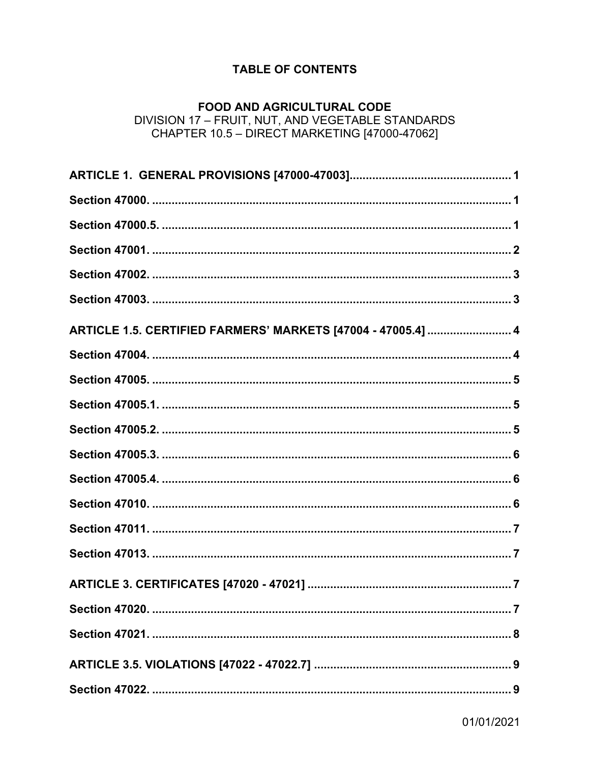# **TABLE OF CONTENTS**

### **FOOD AND AGRICULTURAL CODE** DIVISION 17 - FRUIT, NUT, AND VEGETABLE STANDARDS CHAPTER 10.5 - DIRECT MARKETING [47000-47062]

| ARTICLE 1.5. CERTIFIED FARMERS' MARKETS [47004 - 47005.4]  4 |
|--------------------------------------------------------------|
|                                                              |
|                                                              |
|                                                              |
|                                                              |
|                                                              |
|                                                              |
|                                                              |
|                                                              |
|                                                              |
|                                                              |
|                                                              |
|                                                              |
|                                                              |
|                                                              |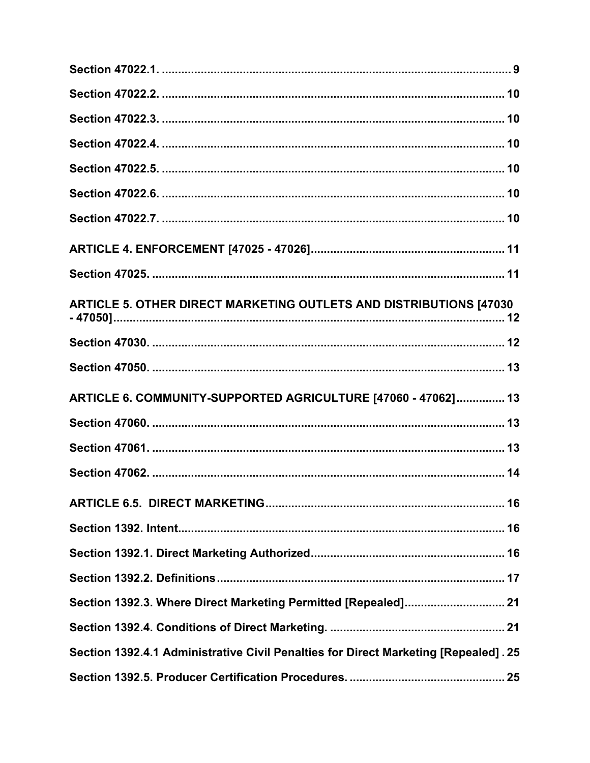| ARTICLE 5. OTHER DIRECT MARKETING OUTLETS AND DISTRIBUTIONS [47030]                 |
|-------------------------------------------------------------------------------------|
|                                                                                     |
|                                                                                     |
| ARTICLE 6. COMMUNITY-SUPPORTED AGRICULTURE [47060 - 47062] 13                       |
|                                                                                     |
|                                                                                     |
|                                                                                     |
|                                                                                     |
|                                                                                     |
|                                                                                     |
|                                                                                     |
| Section 1392.3. Where Direct Marketing Permitted [Repealed] 21                      |
|                                                                                     |
| Section 1392.4.1 Administrative Civil Penalties for Direct Marketing [Repealed]. 25 |
|                                                                                     |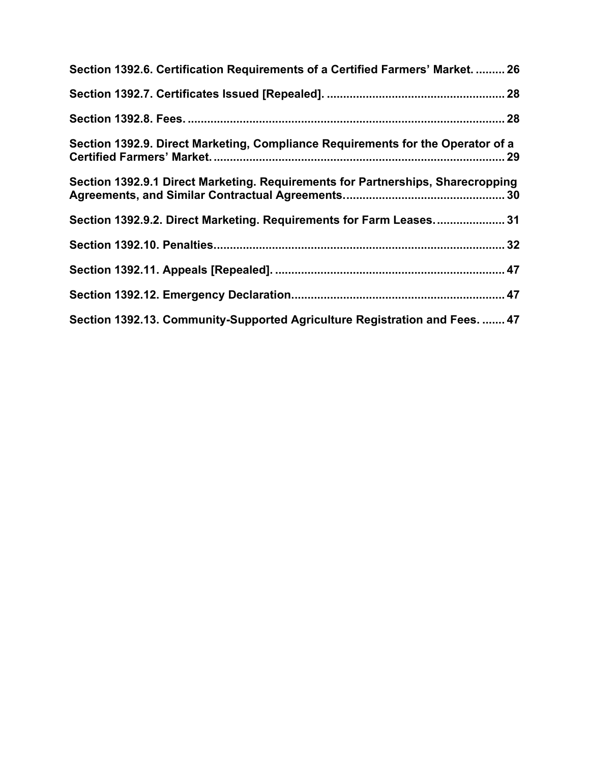| Section 1392.6. Certification Requirements of a Certified Farmers' Market.  26  |  |
|---------------------------------------------------------------------------------|--|
|                                                                                 |  |
|                                                                                 |  |
| Section 1392.9. Direct Marketing, Compliance Requirements for the Operator of a |  |
| Section 1392.9.1 Direct Marketing. Requirements for Partnerships, Sharecropping |  |
| Section 1392.9.2. Direct Marketing. Requirements for Farm Leases 31             |  |
|                                                                                 |  |
|                                                                                 |  |
|                                                                                 |  |
| Section 1392.13. Community-Supported Agriculture Registration and Fees.  47     |  |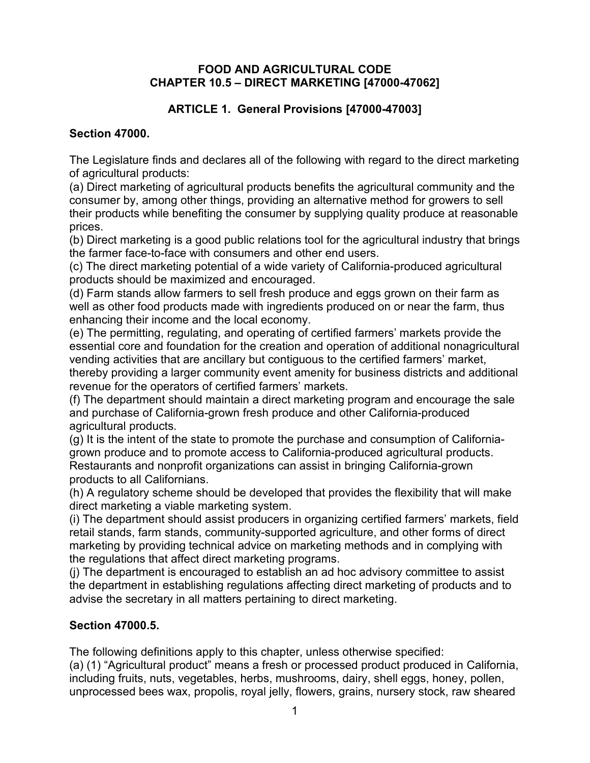### **FOOD AND AGRICULTURAL CODE CHAPTER 10.5 – DIRECT MARKETING [47000-47062]**

# **ARTICLE 1. General Provisions [47000-47003]**

## **Section 47000.**

The Legislature finds and declares all of the following with regard to the direct marketing of agricultural products:

(a) Direct marketing of agricultural products benefits the agricultural community and the consumer by, among other things, providing an alternative method for growers to sell their products while benefiting the consumer by supplying quality produce at reasonable prices.

(b) Direct marketing is a good public relations tool for the agricultural industry that brings the farmer face-to-face with consumers and other end users.

(c) The direct marketing potential of a wide variety of California-produced agricultural products should be maximized and encouraged.

(d) Farm stands allow farmers to sell fresh produce and eggs grown on their farm as well as other food products made with ingredients produced on or near the farm, thus enhancing their income and the local economy.

(e) The permitting, regulating, and operating of certified farmers' markets provide the essential core and foundation for the creation and operation of additional nonagricultural vending activities that are ancillary but contiguous to the certified farmers' market, thereby providing a larger community event amenity for business districts and additional revenue for the operators of certified farmers' markets.

(f) The department should maintain a direct marketing program and encourage the sale and purchase of California-grown fresh produce and other California-produced agricultural products.

(g) It is the intent of the state to promote the purchase and consumption of Californiagrown produce and to promote access to California-produced agricultural products. Restaurants and nonprofit organizations can assist in bringing California-grown products to all Californians.

(h) A regulatory scheme should be developed that provides the flexibility that will make direct marketing a viable marketing system.

(i) The department should assist producers in organizing certified farmers' markets, field retail stands, farm stands, community-supported agriculture, and other forms of direct marketing by providing technical advice on marketing methods and in complying with the regulations that affect direct marketing programs.

(j) The department is encouraged to establish an ad hoc advisory committee to assist the department in establishing regulations affecting direct marketing of products and to advise the secretary in all matters pertaining to direct marketing.

## **Section 47000.5.**

The following definitions apply to this chapter, unless otherwise specified: (a) (1) "Agricultural product" means a fresh or processed product produced in California, including fruits, nuts, vegetables, herbs, mushrooms, dairy, shell eggs, honey, pollen, unprocessed bees wax, propolis, royal jelly, flowers, grains, nursery stock, raw sheared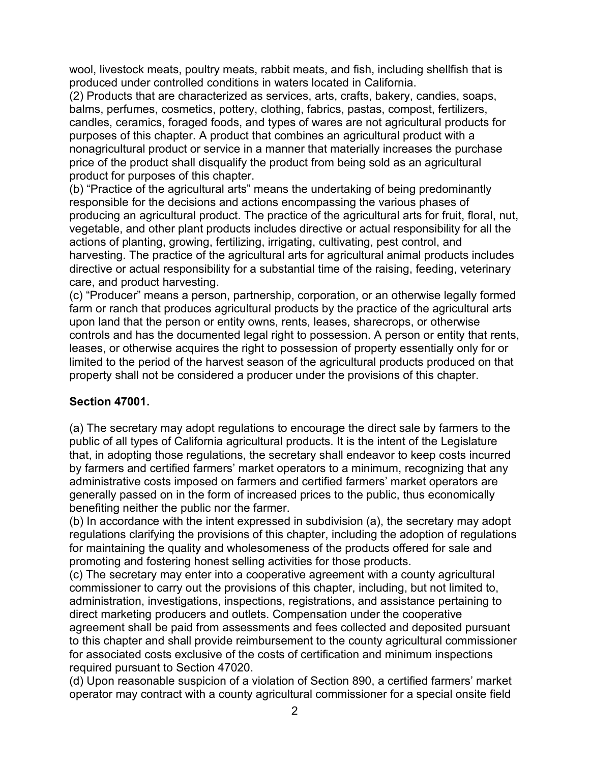wool, livestock meats, poultry meats, rabbit meats, and fish, including shellfish that is produced under controlled conditions in waters located in California.

(2) Products that are characterized as services, arts, crafts, bakery, candies, soaps, balms, perfumes, cosmetics, pottery, clothing, fabrics, pastas, compost, fertilizers, candles, ceramics, foraged foods, and types of wares are not agricultural products for purposes of this chapter. A product that combines an agricultural product with a nonagricultural product or service in a manner that materially increases the purchase price of the product shall disqualify the product from being sold as an agricultural product for purposes of this chapter.

(b) "Practice of the agricultural arts" means the undertaking of being predominantly responsible for the decisions and actions encompassing the various phases of producing an agricultural product. The practice of the agricultural arts for fruit, floral, nut, vegetable, and other plant products includes directive or actual responsibility for all the actions of planting, growing, fertilizing, irrigating, cultivating, pest control, and harvesting. The practice of the agricultural arts for agricultural animal products includes directive or actual responsibility for a substantial time of the raising, feeding, veterinary care, and product harvesting.

(c) "Producer" means a person, partnership, corporation, or an otherwise legally formed farm or ranch that produces agricultural products by the practice of the agricultural arts upon land that the person or entity owns, rents, leases, sharecrops, or otherwise controls and has the documented legal right to possession. A person or entity that rents, leases, or otherwise acquires the right to possession of property essentially only for or limited to the period of the harvest season of the agricultural products produced on that property shall not be considered a producer under the provisions of this chapter.

## **Section 47001.**

(a) The secretary may adopt regulations to encourage the direct sale by farmers to the public of all types of California agricultural products. It is the intent of the Legislature that, in adopting those regulations, the secretary shall endeavor to keep costs incurred by farmers and certified farmers' market operators to a minimum, recognizing that any administrative costs imposed on farmers and certified farmers' market operators are generally passed on in the form of increased prices to the public, thus economically benefiting neither the public nor the farmer.

(b) In accordance with the intent expressed in subdivision (a), the secretary may adopt regulations clarifying the provisions of this chapter, including the adoption of regulations for maintaining the quality and wholesomeness of the products offered for sale and promoting and fostering honest selling activities for those products.

(c) The secretary may enter into a cooperative agreement with a county agricultural commissioner to carry out the provisions of this chapter, including, but not limited to, administration, investigations, inspections, registrations, and assistance pertaining to direct marketing producers and outlets. Compensation under the cooperative agreement shall be paid from assessments and fees collected and deposited pursuant to this chapter and shall provide reimbursement to the county agricultural commissioner for associated costs exclusive of the costs of certification and minimum inspections required pursuant to Section 47020.

(d) Upon reasonable suspicion of a violation of Section 890, a certified farmers' market operator may contract with a county agricultural commissioner for a special onsite field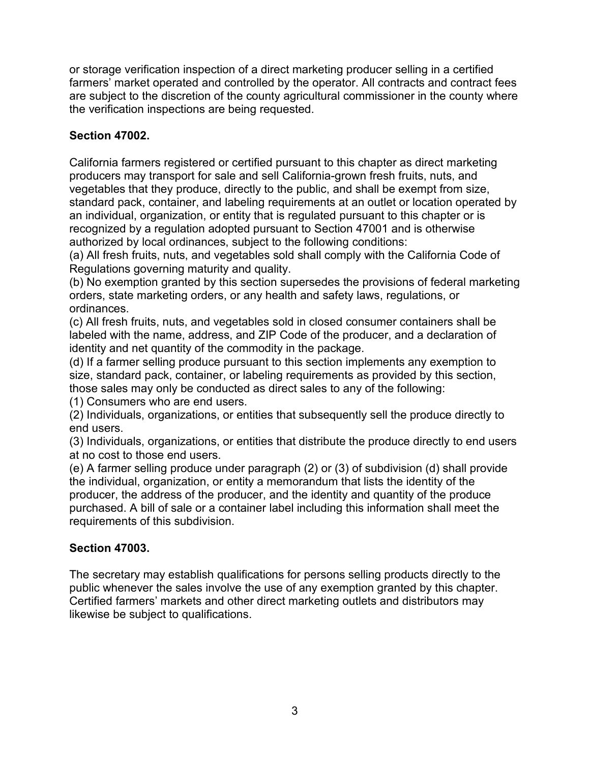or storage verification inspection of a direct marketing producer selling in a certified farmers' market operated and controlled by the operator. All contracts and contract fees are subject to the discretion of the county agricultural commissioner in the county where the verification inspections are being requested.

# **Section 47002.**

California farmers registered or certified pursuant to this chapter as direct marketing producers may transport for sale and sell California-grown fresh fruits, nuts, and vegetables that they produce, directly to the public, and shall be exempt from size, standard pack, container, and labeling requirements at an outlet or location operated by an individual, organization, or entity that is regulated pursuant to this chapter or is recognized by a regulation adopted pursuant to Section 47001 and is otherwise authorized by local ordinances, subject to the following conditions:

(a) All fresh fruits, nuts, and vegetables sold shall comply with the California Code of Regulations governing maturity and quality.

(b) No exemption granted by this section supersedes the provisions of federal marketing orders, state marketing orders, or any health and safety laws, regulations, or ordinances.

(c) All fresh fruits, nuts, and vegetables sold in closed consumer containers shall be labeled with the name, address, and ZIP Code of the producer, and a declaration of identity and net quantity of the commodity in the package.

(d) If a farmer selling produce pursuant to this section implements any exemption to size, standard pack, container, or labeling requirements as provided by this section, those sales may only be conducted as direct sales to any of the following:

(1) Consumers who are end users.

(2) Individuals, organizations, or entities that subsequently sell the produce directly to end users.

(3) Individuals, organizations, or entities that distribute the produce directly to end users at no cost to those end users.

(e) A farmer selling produce under paragraph (2) or (3) of subdivision (d) shall provide the individual, organization, or entity a memorandum that lists the identity of the producer, the address of the producer, and the identity and quantity of the produce purchased. A bill of sale or a container label including this information shall meet the requirements of this subdivision.

## **Section 47003.**

The secretary may establish qualifications for persons selling products directly to the public whenever the sales involve the use of any exemption granted by this chapter. Certified farmers' markets and other direct marketing outlets and distributors may likewise be subject to qualifications.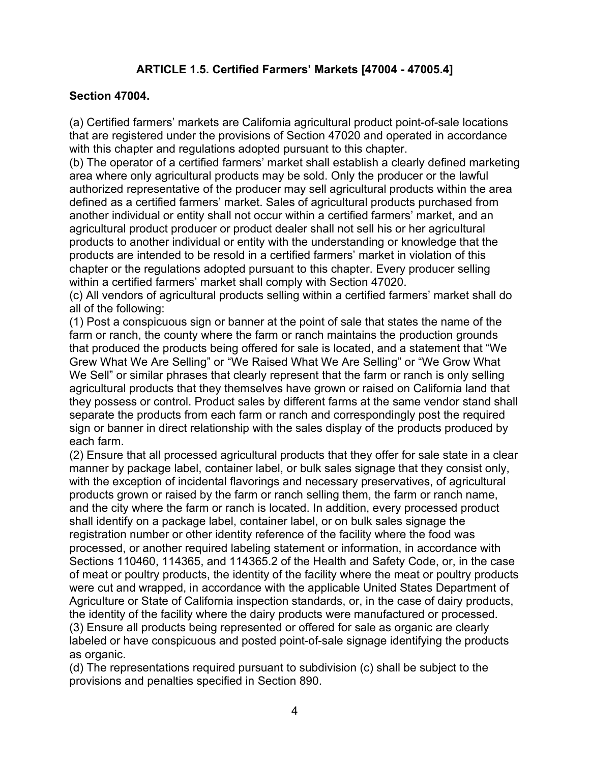# **ARTICLE 1.5. Certified Farmers' Markets [47004 - 47005.4]**

### **Section 47004.**

(a) Certified farmers' markets are California agricultural product point-of-sale locations that are registered under the provisions of Section 47020 and operated in accordance with this chapter and regulations adopted pursuant to this chapter.

(b) The operator of a certified farmers' market shall establish a clearly defined marketing area where only agricultural products may be sold. Only the producer or the lawful authorized representative of the producer may sell agricultural products within the area defined as a certified farmers' market. Sales of agricultural products purchased from another individual or entity shall not occur within a certified farmers' market, and an agricultural product producer or product dealer shall not sell his or her agricultural products to another individual or entity with the understanding or knowledge that the products are intended to be resold in a certified farmers' market in violation of this chapter or the regulations adopted pursuant to this chapter. Every producer selling within a certified farmers' market shall comply with Section 47020.

(c) All vendors of agricultural products selling within a certified farmers' market shall do all of the following:

(1) Post a conspicuous sign or banner at the point of sale that states the name of the farm or ranch, the county where the farm or ranch maintains the production grounds that produced the products being offered for sale is located, and a statement that "We Grew What We Are Selling" or "We Raised What We Are Selling" or "We Grow What We Sell" or similar phrases that clearly represent that the farm or ranch is only selling agricultural products that they themselves have grown or raised on California land that they possess or control. Product sales by different farms at the same vendor stand shall separate the products from each farm or ranch and correspondingly post the required sign or banner in direct relationship with the sales display of the products produced by each farm.

(2) Ensure that all processed agricultural products that they offer for sale state in a clear manner by package label, container label, or bulk sales signage that they consist only, with the exception of incidental flavorings and necessary preservatives, of agricultural products grown or raised by the farm or ranch selling them, the farm or ranch name, and the city where the farm or ranch is located. In addition, every processed product shall identify on a package label, container label, or on bulk sales signage the registration number or other identity reference of the facility where the food was processed, or another required labeling statement or information, in accordance with Sections 110460, 114365, and 114365.2 of the Health and Safety Code, or, in the case of meat or poultry products, the identity of the facility where the meat or poultry products were cut and wrapped, in accordance with the applicable United States Department of Agriculture or State of California inspection standards, or, in the case of dairy products, the identity of the facility where the dairy products were manufactured or processed. (3) Ensure all products being represented or offered for sale as organic are clearly labeled or have conspicuous and posted point-of-sale signage identifying the products

as organic.

(d) The representations required pursuant to subdivision (c) shall be subject to the provisions and penalties specified in Section 890.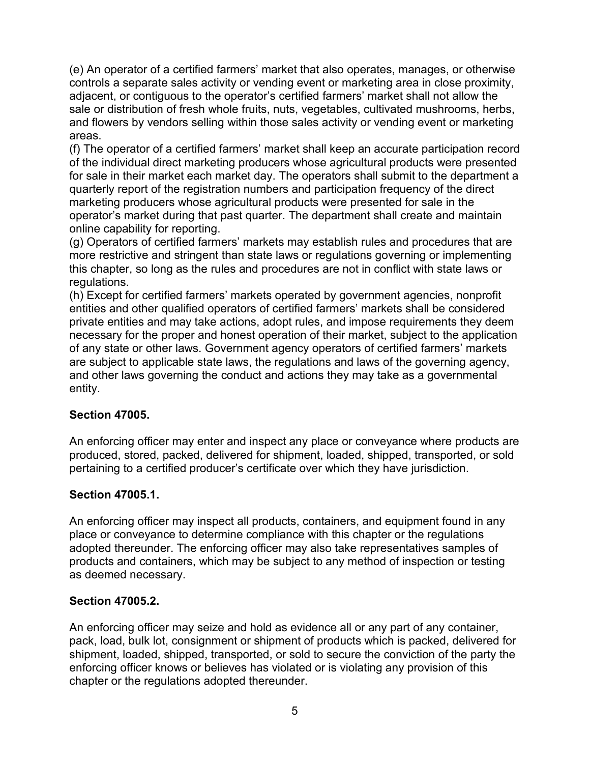(e) An operator of a certified farmers' market that also operates, manages, or otherwise controls a separate sales activity or vending event or marketing area in close proximity, adjacent, or contiguous to the operator's certified farmers' market shall not allow the sale or distribution of fresh whole fruits, nuts, vegetables, cultivated mushrooms, herbs, and flowers by vendors selling within those sales activity or vending event or marketing areas.

(f) The operator of a certified farmers' market shall keep an accurate participation record of the individual direct marketing producers whose agricultural products were presented for sale in their market each market day. The operators shall submit to the department a quarterly report of the registration numbers and participation frequency of the direct marketing producers whose agricultural products were presented for sale in the operator's market during that past quarter. The department shall create and maintain online capability for reporting.

(g) Operators of certified farmers' markets may establish rules and procedures that are more restrictive and stringent than state laws or regulations governing or implementing this chapter, so long as the rules and procedures are not in conflict with state laws or regulations.

(h) Except for certified farmers' markets operated by government agencies, nonprofit entities and other qualified operators of certified farmers' markets shall be considered private entities and may take actions, adopt rules, and impose requirements they deem necessary for the proper and honest operation of their market, subject to the application of any state or other laws. Government agency operators of certified farmers' markets are subject to applicable state laws, the regulations and laws of the governing agency, and other laws governing the conduct and actions they may take as a governmental entity.

### **Section 47005.**

An enforcing officer may enter and inspect any place or conveyance where products are produced, stored, packed, delivered for shipment, loaded, shipped, transported, or sold pertaining to a certified producer's certificate over which they have jurisdiction.

### **Section 47005.1.**

An enforcing officer may inspect all products, containers, and equipment found in any place or conveyance to determine compliance with this chapter or the regulations adopted thereunder. The enforcing officer may also take representatives samples of products and containers, which may be subject to any method of inspection or testing as deemed necessary.

### **Section 47005.2.**

An enforcing officer may seize and hold as evidence all or any part of any container, pack, load, bulk lot, consignment or shipment of products which is packed, delivered for shipment, loaded, shipped, transported, or sold to secure the conviction of the party the enforcing officer knows or believes has violated or is violating any provision of this chapter or the regulations adopted thereunder.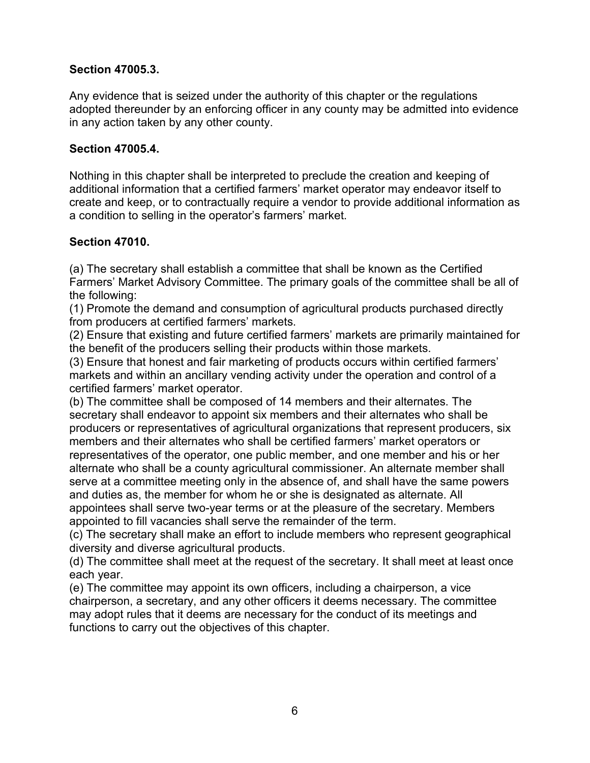## **Section 47005.3.**

Any evidence that is seized under the authority of this chapter or the regulations adopted thereunder by an enforcing officer in any county may be admitted into evidence in any action taken by any other county.

### **Section 47005.4.**

Nothing in this chapter shall be interpreted to preclude the creation and keeping of additional information that a certified farmers' market operator may endeavor itself to create and keep, or to contractually require a vendor to provide additional information as a condition to selling in the operator's farmers' market.

## **Section 47010.**

(a) The secretary shall establish a committee that shall be known as the Certified Farmers' Market Advisory Committee. The primary goals of the committee shall be all of the following:

(1) Promote the demand and consumption of agricultural products purchased directly from producers at certified farmers' markets.

(2) Ensure that existing and future certified farmers' markets are primarily maintained for the benefit of the producers selling their products within those markets.

(3) Ensure that honest and fair marketing of products occurs within certified farmers' markets and within an ancillary vending activity under the operation and control of a certified farmers' market operator.

(b) The committee shall be composed of 14 members and their alternates. The secretary shall endeavor to appoint six members and their alternates who shall be producers or representatives of agricultural organizations that represent producers, six members and their alternates who shall be certified farmers' market operators or representatives of the operator, one public member, and one member and his or her alternate who shall be a county agricultural commissioner. An alternate member shall serve at a committee meeting only in the absence of, and shall have the same powers and duties as, the member for whom he or she is designated as alternate. All appointees shall serve two-year terms or at the pleasure of the secretary. Members appointed to fill vacancies shall serve the remainder of the term.

(c) The secretary shall make an effort to include members who represent geographical diversity and diverse agricultural products.

(d) The committee shall meet at the request of the secretary. It shall meet at least once each year.

(e) The committee may appoint its own officers, including a chairperson, a vice chairperson, a secretary, and any other officers it deems necessary. The committee may adopt rules that it deems are necessary for the conduct of its meetings and functions to carry out the objectives of this chapter.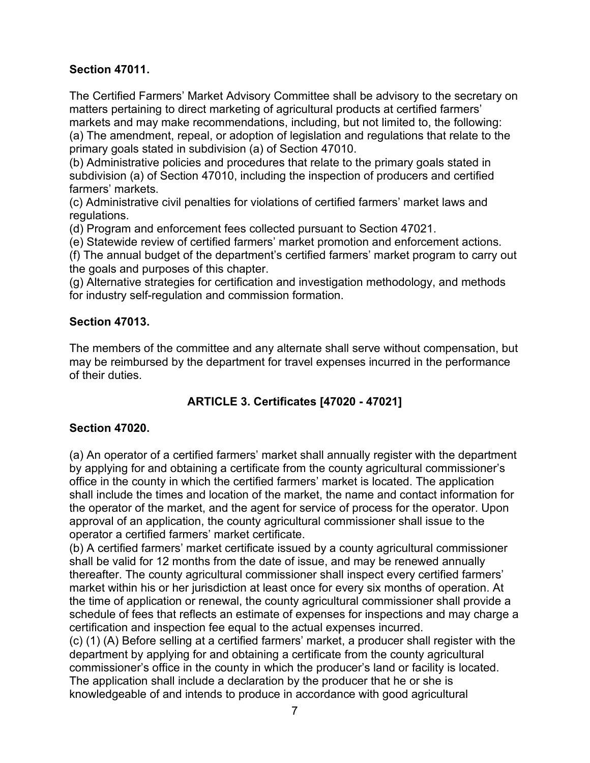## **Section 47011.**

The Certified Farmers' Market Advisory Committee shall be advisory to the secretary on matters pertaining to direct marketing of agricultural products at certified farmers' markets and may make recommendations, including, but not limited to, the following:

(a) The amendment, repeal, or adoption of legislation and regulations that relate to the primary goals stated in subdivision (a) of Section 47010.

(b) Administrative policies and procedures that relate to the primary goals stated in subdivision (a) of Section 47010, including the inspection of producers and certified farmers' markets.

(c) Administrative civil penalties for violations of certified farmers' market laws and regulations.

(d) Program and enforcement fees collected pursuant to Section 47021.

(e) Statewide review of certified farmers' market promotion and enforcement actions.

(f) The annual budget of the department's certified farmers' market program to carry out the goals and purposes of this chapter.

(g) Alternative strategies for certification and investigation methodology, and methods for industry self-regulation and commission formation.

### **Section 47013.**

The members of the committee and any alternate shall serve without compensation, but may be reimbursed by the department for travel expenses incurred in the performance of their duties.

# **ARTICLE 3. Certificates [47020 - 47021]**

## **Section 47020.**

(a) An operator of a certified farmers' market shall annually register with the department by applying for and obtaining a certificate from the county agricultural commissioner's office in the county in which the certified farmers' market is located. The application shall include the times and location of the market, the name and contact information for the operator of the market, and the agent for service of process for the operator. Upon approval of an application, the county agricultural commissioner shall issue to the operator a certified farmers' market certificate.

(b) A certified farmers' market certificate issued by a county agricultural commissioner shall be valid for 12 months from the date of issue, and may be renewed annually thereafter. The county agricultural commissioner shall inspect every certified farmers' market within his or her jurisdiction at least once for every six months of operation. At the time of application or renewal, the county agricultural commissioner shall provide a schedule of fees that reflects an estimate of expenses for inspections and may charge a certification and inspection fee equal to the actual expenses incurred.

(c) (1) (A) Before selling at a certified farmers' market, a producer shall register with the department by applying for and obtaining a certificate from the county agricultural commissioner's office in the county in which the producer's land or facility is located. The application shall include a declaration by the producer that he or she is knowledgeable of and intends to produce in accordance with good agricultural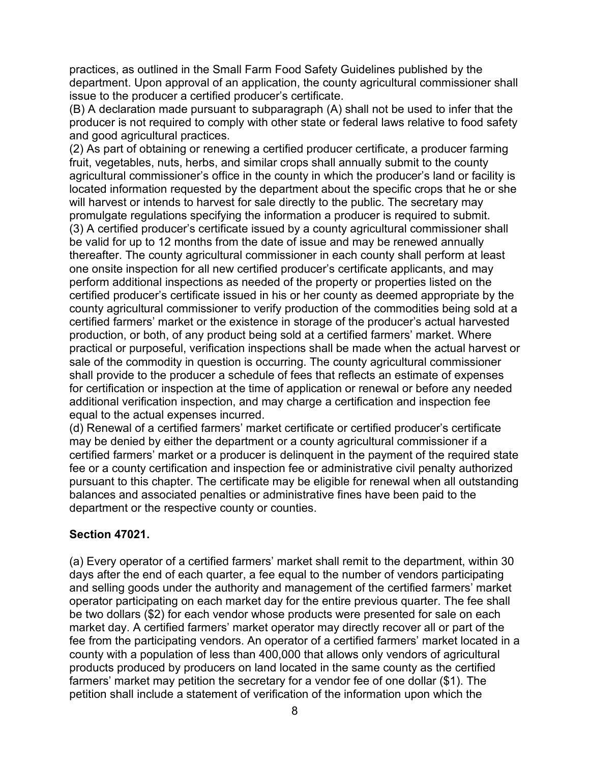practices, as outlined in the Small Farm Food Safety Guidelines published by the department. Upon approval of an application, the county agricultural commissioner shall issue to the producer a certified producer's certificate.

(B) A declaration made pursuant to subparagraph (A) shall not be used to infer that the producer is not required to comply with other state or federal laws relative to food safety and good agricultural practices.

(2) As part of obtaining or renewing a certified producer certificate, a producer farming fruit, vegetables, nuts, herbs, and similar crops shall annually submit to the county agricultural commissioner's office in the county in which the producer's land or facility is located information requested by the department about the specific crops that he or she will harvest or intends to harvest for sale directly to the public. The secretary may promulgate regulations specifying the information a producer is required to submit. (3) A certified producer's certificate issued by a county agricultural commissioner shall be valid for up to 12 months from the date of issue and may be renewed annually thereafter. The county agricultural commissioner in each county shall perform at least one onsite inspection for all new certified producer's certificate applicants, and may perform additional inspections as needed of the property or properties listed on the certified producer's certificate issued in his or her county as deemed appropriate by the county agricultural commissioner to verify production of the commodities being sold at a certified farmers' market or the existence in storage of the producer's actual harvested production, or both, of any product being sold at a certified farmers' market. Where practical or purposeful, verification inspections shall be made when the actual harvest or sale of the commodity in question is occurring. The county agricultural commissioner shall provide to the producer a schedule of fees that reflects an estimate of expenses for certification or inspection at the time of application or renewal or before any needed additional verification inspection, and may charge a certification and inspection fee equal to the actual expenses incurred.

(d) Renewal of a certified farmers' market certificate or certified producer's certificate may be denied by either the department or a county agricultural commissioner if a certified farmers' market or a producer is delinquent in the payment of the required state fee or a county certification and inspection fee or administrative civil penalty authorized pursuant to this chapter. The certificate may be eligible for renewal when all outstanding balances and associated penalties or administrative fines have been paid to the department or the respective county or counties.

## **Section 47021.**

(a) Every operator of a certified farmers' market shall remit to the department, within 30 days after the end of each quarter, a fee equal to the number of vendors participating and selling goods under the authority and management of the certified farmers' market operator participating on each market day for the entire previous quarter. The fee shall be two dollars (\$2) for each vendor whose products were presented for sale on each market day. A certified farmers' market operator may directly recover all or part of the fee from the participating vendors. An operator of a certified farmers' market located in a county with a population of less than 400,000 that allows only vendors of agricultural products produced by producers on land located in the same county as the certified farmers' market may petition the secretary for a vendor fee of one dollar (\$1). The petition shall include a statement of verification of the information upon which the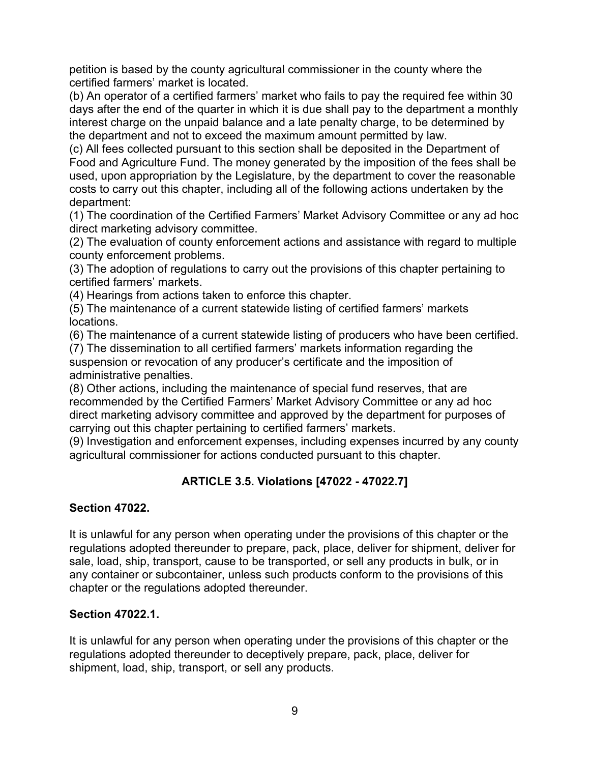petition is based by the county agricultural commissioner in the county where the certified farmers' market is located.

(b) An operator of a certified farmers' market who fails to pay the required fee within 30 days after the end of the quarter in which it is due shall pay to the department a monthly interest charge on the unpaid balance and a late penalty charge, to be determined by the department and not to exceed the maximum amount permitted by law.

(c) All fees collected pursuant to this section shall be deposited in the Department of Food and Agriculture Fund. The money generated by the imposition of the fees shall be used, upon appropriation by the Legislature, by the department to cover the reasonable costs to carry out this chapter, including all of the following actions undertaken by the department:

(1) The coordination of the Certified Farmers' Market Advisory Committee or any ad hoc direct marketing advisory committee.

(2) The evaluation of county enforcement actions and assistance with regard to multiple county enforcement problems.

(3) The adoption of regulations to carry out the provisions of this chapter pertaining to certified farmers' markets.

(4) Hearings from actions taken to enforce this chapter.

(5) The maintenance of a current statewide listing of certified farmers' markets locations.

(6) The maintenance of a current statewide listing of producers who have been certified.

(7) The dissemination to all certified farmers' markets information regarding the suspension or revocation of any producer's certificate and the imposition of administrative penalties.

(8) Other actions, including the maintenance of special fund reserves, that are recommended by the Certified Farmers' Market Advisory Committee or any ad hoc direct marketing advisory committee and approved by the department for purposes of carrying out this chapter pertaining to certified farmers' markets.

(9) Investigation and enforcement expenses, including expenses incurred by any county agricultural commissioner for actions conducted pursuant to this chapter.

# **ARTICLE 3.5. Violations [47022 - 47022.7]**

## **Section 47022.**

It is unlawful for any person when operating under the provisions of this chapter or the regulations adopted thereunder to prepare, pack, place, deliver for shipment, deliver for sale, load, ship, transport, cause to be transported, or sell any products in bulk, or in any container or subcontainer, unless such products conform to the provisions of this chapter or the regulations adopted thereunder.

## **Section 47022.1.**

It is unlawful for any person when operating under the provisions of this chapter or the regulations adopted thereunder to deceptively prepare, pack, place, deliver for shipment, load, ship, transport, or sell any products.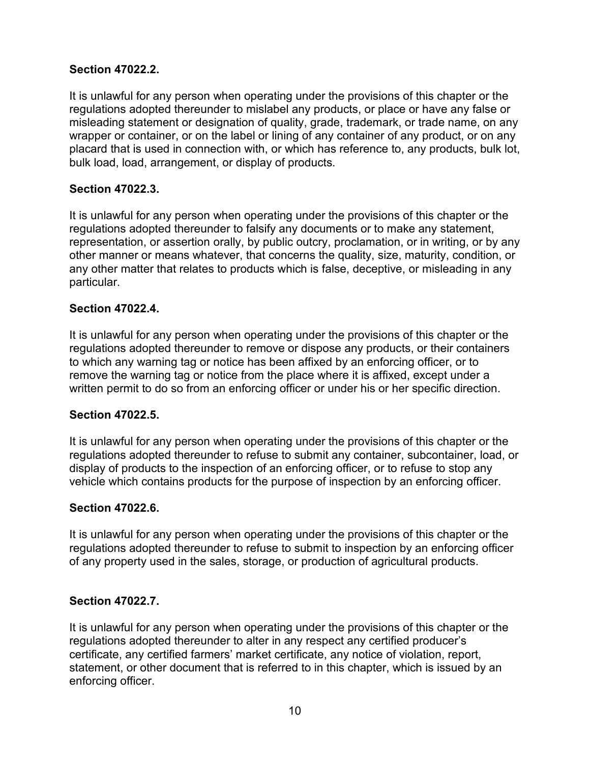## **Section 47022.2.**

It is unlawful for any person when operating under the provisions of this chapter or the regulations adopted thereunder to mislabel any products, or place or have any false or misleading statement or designation of quality, grade, trademark, or trade name, on any wrapper or container, or on the label or lining of any container of any product, or on any placard that is used in connection with, or which has reference to, any products, bulk lot, bulk load, load, arrangement, or display of products.

### **Section 47022.3.**

It is unlawful for any person when operating under the provisions of this chapter or the regulations adopted thereunder to falsify any documents or to make any statement, representation, or assertion orally, by public outcry, proclamation, or in writing, or by any other manner or means whatever, that concerns the quality, size, maturity, condition, or any other matter that relates to products which is false, deceptive, or misleading in any particular.

### **Section 47022.4.**

It is unlawful for any person when operating under the provisions of this chapter or the regulations adopted thereunder to remove or dispose any products, or their containers to which any warning tag or notice has been affixed by an enforcing officer, or to remove the warning tag or notice from the place where it is affixed, except under a written permit to do so from an enforcing officer or under his or her specific direction.

### **Section 47022.5.**

It is unlawful for any person when operating under the provisions of this chapter or the regulations adopted thereunder to refuse to submit any container, subcontainer, load, or display of products to the inspection of an enforcing officer, or to refuse to stop any vehicle which contains products for the purpose of inspection by an enforcing officer.

### **Section 47022.6.**

It is unlawful for any person when operating under the provisions of this chapter or the regulations adopted thereunder to refuse to submit to inspection by an enforcing officer of any property used in the sales, storage, or production of agricultural products.

### **Section 47022.7.**

It is unlawful for any person when operating under the provisions of this chapter or the regulations adopted thereunder to alter in any respect any certified producer's certificate, any certified farmers' market certificate, any notice of violation, report, statement, or other document that is referred to in this chapter, which is issued by an enforcing officer.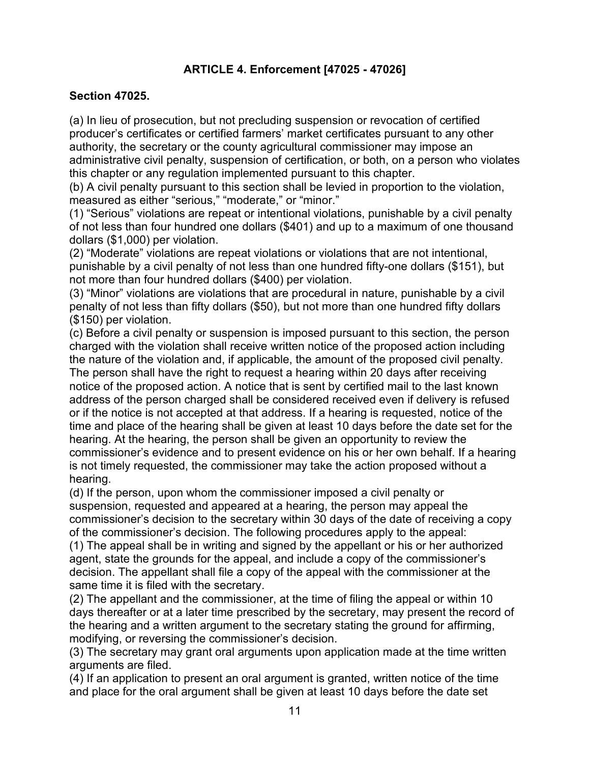## **ARTICLE 4. Enforcement [47025 - 47026]**

#### **Section 47025.**

(a) In lieu of prosecution, but not precluding suspension or revocation of certified producer's certificates or certified farmers' market certificates pursuant to any other authority, the secretary or the county agricultural commissioner may impose an administrative civil penalty, suspension of certification, or both, on a person who violates this chapter or any regulation implemented pursuant to this chapter.

(b) A civil penalty pursuant to this section shall be levied in proportion to the violation, measured as either "serious," "moderate," or "minor."

(1) "Serious" violations are repeat or intentional violations, punishable by a civil penalty of not less than four hundred one dollars (\$401) and up to a maximum of one thousand dollars (\$1,000) per violation.

(2) "Moderate" violations are repeat violations or violations that are not intentional, punishable by a civil penalty of not less than one hundred fifty-one dollars (\$151), but not more than four hundred dollars (\$400) per violation.

(3) "Minor" violations are violations that are procedural in nature, punishable by a civil penalty of not less than fifty dollars (\$50), but not more than one hundred fifty dollars (\$150) per violation.

(c) Before a civil penalty or suspension is imposed pursuant to this section, the person charged with the violation shall receive written notice of the proposed action including the nature of the violation and, if applicable, the amount of the proposed civil penalty.

The person shall have the right to request a hearing within 20 days after receiving notice of the proposed action. A notice that is sent by certified mail to the last known address of the person charged shall be considered received even if delivery is refused or if the notice is not accepted at that address. If a hearing is requested, notice of the time and place of the hearing shall be given at least 10 days before the date set for the hearing. At the hearing, the person shall be given an opportunity to review the commissioner's evidence and to present evidence on his or her own behalf. If a hearing is not timely requested, the commissioner may take the action proposed without a hearing.

(d) If the person, upon whom the commissioner imposed a civil penalty or suspension, requested and appeared at a hearing, the person may appeal the commissioner's decision to the secretary within 30 days of the date of receiving a copy of the commissioner's decision. The following procedures apply to the appeal:

(1) The appeal shall be in writing and signed by the appellant or his or her authorized agent, state the grounds for the appeal, and include a copy of the commissioner's decision. The appellant shall file a copy of the appeal with the commissioner at the same time it is filed with the secretary.

(2) The appellant and the commissioner, at the time of filing the appeal or within 10 days thereafter or at a later time prescribed by the secretary, may present the record of the hearing and a written argument to the secretary stating the ground for affirming, modifying, or reversing the commissioner's decision.

(3) The secretary may grant oral arguments upon application made at the time written arguments are filed.

(4) If an application to present an oral argument is granted, written notice of the time and place for the oral argument shall be given at least 10 days before the date set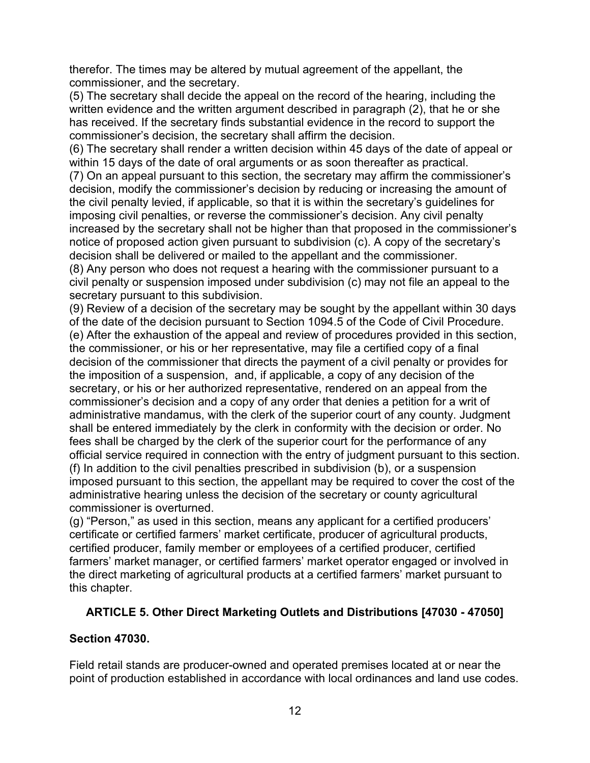therefor. The times may be altered by mutual agreement of the appellant, the commissioner, and the secretary.

(5) The secretary shall decide the appeal on the record of the hearing, including the written evidence and the written argument described in paragraph (2), that he or she has received. If the secretary finds substantial evidence in the record to support the commissioner's decision, the secretary shall affirm the decision.

(6) The secretary shall render a written decision within 45 days of the date of appeal or within 15 days of the date of oral arguments or as soon thereafter as practical.

(7) On an appeal pursuant to this section, the secretary may affirm the commissioner's decision, modify the commissioner's decision by reducing or increasing the amount of the civil penalty levied, if applicable, so that it is within the secretary's guidelines for imposing civil penalties, or reverse the commissioner's decision. Any civil penalty increased by the secretary shall not be higher than that proposed in the commissioner's notice of proposed action given pursuant to subdivision (c). A copy of the secretary's decision shall be delivered or mailed to the appellant and the commissioner.

(8) Any person who does not request a hearing with the commissioner pursuant to a civil penalty or suspension imposed under subdivision (c) may not file an appeal to the secretary pursuant to this subdivision.

(9) Review of a decision of the secretary may be sought by the appellant within 30 days of the date of the decision pursuant to Section 1094.5 of the Code of Civil Procedure. (e) After the exhaustion of the appeal and review of procedures provided in this section, the commissioner, or his or her representative, may file a certified copy of a final decision of the commissioner that directs the payment of a civil penalty or provides for the imposition of a suspension, and, if applicable, a copy of any decision of the secretary, or his or her authorized representative, rendered on an appeal from the commissioner's decision and a copy of any order that denies a petition for a writ of administrative mandamus, with the clerk of the superior court of any county. Judgment shall be entered immediately by the clerk in conformity with the decision or order. No fees shall be charged by the clerk of the superior court for the performance of any official service required in connection with the entry of judgment pursuant to this section. (f) In addition to the civil penalties prescribed in subdivision (b), or a suspension imposed pursuant to this section, the appellant may be required to cover the cost of the administrative hearing unless the decision of the secretary or county agricultural commissioner is overturned.

(g) "Person," as used in this section, means any applicant for a certified producers' certificate or certified farmers' market certificate, producer of agricultural products, certified producer, family member or employees of a certified producer, certified farmers' market manager, or certified farmers' market operator engaged or involved in the direct marketing of agricultural products at a certified farmers' market pursuant to this chapter.

## **ARTICLE 5. Other Direct Marketing Outlets and Distributions [47030 - 47050]**

## **Section 47030.**

Field retail stands are producer-owned and operated premises located at or near the point of production established in accordance with local ordinances and land use codes.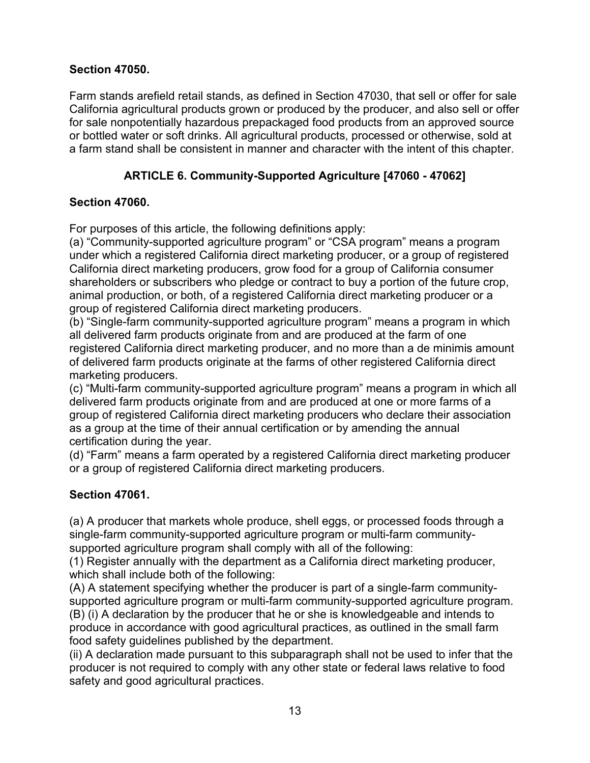## **Section 47050.**

Farm stands arefield retail stands, as defined in Section 47030, that sell or offer for sale California agricultural products grown or produced by the producer, and also sell or offer for sale nonpotentially hazardous prepackaged food products from an approved source or bottled water or soft drinks. All agricultural products, processed or otherwise, sold at a farm stand shall be consistent in manner and character with the intent of this chapter.

# **ARTICLE 6. Community-Supported Agriculture [47060 - 47062]**

## **Section 47060.**

For purposes of this article, the following definitions apply:

(a) "Community-supported agriculture program" or "CSA program" means a program under which a registered California direct marketing producer, or a group of registered California direct marketing producers, grow food for a group of California consumer shareholders or subscribers who pledge or contract to buy a portion of the future crop, animal production, or both, of a registered California direct marketing producer or a group of registered California direct marketing producers.

(b) "Single-farm community-supported agriculture program" means a program in which all delivered farm products originate from and are produced at the farm of one registered California direct marketing producer, and no more than a de minimis amount of delivered farm products originate at the farms of other registered California direct marketing producers.

(c) "Multi-farm community-supported agriculture program" means a program in which all delivered farm products originate from and are produced at one or more farms of a group of registered California direct marketing producers who declare their association as a group at the time of their annual certification or by amending the annual certification during the year.

(d) "Farm" means a farm operated by a registered California direct marketing producer or a group of registered California direct marketing producers.

# **Section 47061.**

(a) A producer that markets whole produce, shell eggs, or processed foods through a single-farm community-supported agriculture program or multi-farm communitysupported agriculture program shall comply with all of the following:

(1) Register annually with the department as a California direct marketing producer, which shall include both of the following:

(A) A statement specifying whether the producer is part of a single-farm communitysupported agriculture program or multi-farm community-supported agriculture program. (B) (i) A declaration by the producer that he or she is knowledgeable and intends to produce in accordance with good agricultural practices, as outlined in the small farm food safety guidelines published by the department.

(ii) A declaration made pursuant to this subparagraph shall not be used to infer that the producer is not required to comply with any other state or federal laws relative to food safety and good agricultural practices.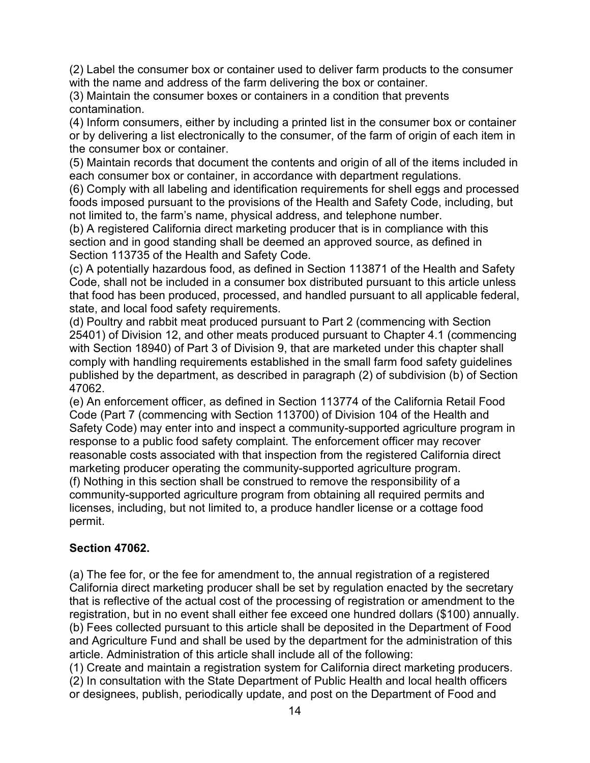(2) Label the consumer box or container used to deliver farm products to the consumer with the name and address of the farm delivering the box or container.

(3) Maintain the consumer boxes or containers in a condition that prevents contamination.

(4) Inform consumers, either by including a printed list in the consumer box or container or by delivering a list electronically to the consumer, of the farm of origin of each item in the consumer box or container.

(5) Maintain records that document the contents and origin of all of the items included in each consumer box or container, in accordance with department regulations.

(6) Comply with all labeling and identification requirements for shell eggs and processed foods imposed pursuant to the provisions of the Health and Safety Code, including, but not limited to, the farm's name, physical address, and telephone number.

(b) A registered California direct marketing producer that is in compliance with this section and in good standing shall be deemed an approved source, as defined in Section 113735 of the Health and Safety Code.

(c) A potentially hazardous food, as defined in Section 113871 of the Health and Safety Code, shall not be included in a consumer box distributed pursuant to this article unless that food has been produced, processed, and handled pursuant to all applicable federal, state, and local food safety requirements.

(d) Poultry and rabbit meat produced pursuant to Part 2 (commencing with Section 25401) of Division 12, and other meats produced pursuant to Chapter 4.1 (commencing with Section 18940) of Part 3 of Division 9, that are marketed under this chapter shall comply with handling requirements established in the small farm food safety guidelines published by the department, as described in paragraph (2) of subdivision (b) of Section 47062.

(e) An enforcement officer, as defined in Section 113774 of the California Retail Food Code (Part 7 (commencing with Section 113700) of Division 104 of the Health and Safety Code) may enter into and inspect a community-supported agriculture program in response to a public food safety complaint. The enforcement officer may recover reasonable costs associated with that inspection from the registered California direct marketing producer operating the community-supported agriculture program. (f) Nothing in this section shall be construed to remove the responsibility of a community-supported agriculture program from obtaining all required permits and licenses, including, but not limited to, a produce handler license or a cottage food permit.

# **Section 47062.**

(a) The fee for, or the fee for amendment to, the annual registration of a registered California direct marketing producer shall be set by regulation enacted by the secretary that is reflective of the actual cost of the processing of registration or amendment to the registration, but in no event shall either fee exceed one hundred dollars (\$100) annually. (b) Fees collected pursuant to this article shall be deposited in the Department of Food and Agriculture Fund and shall be used by the department for the administration of this article. Administration of this article shall include all of the following:

(1) Create and maintain a registration system for California direct marketing producers. (2) In consultation with the State Department of Public Health and local health officers or designees, publish, periodically update, and post on the Department of Food and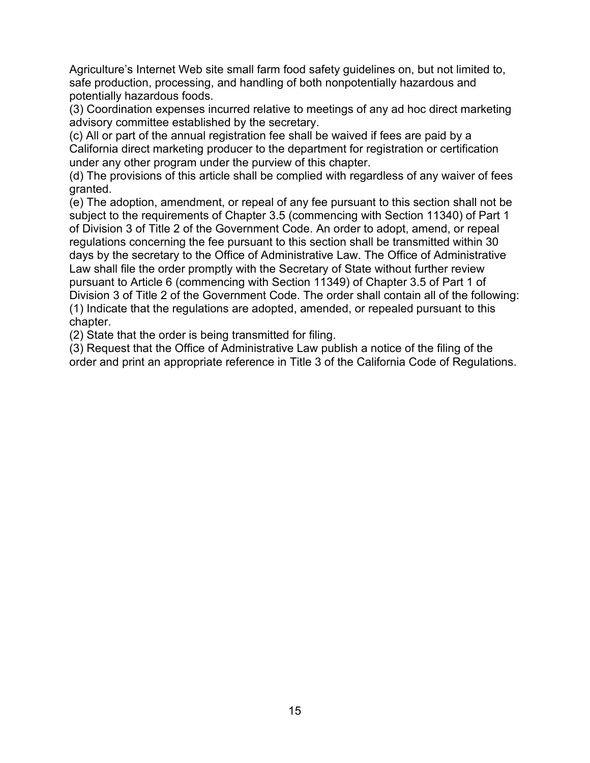Agriculture's Internet Web site small farm food safety guidelines on, but not limited to, safe production, processing, and handling of both nonpotentially hazardous and potentially hazardous foods.

(3) Coordination expenses incurred relative to meetings of any ad hoc direct marketing advisory committee established by the secretary.

(c) All or part of the annual registration fee shall be waived if fees are paid by a California direct marketing producer to the department for registration or certification under any other program under the purview of this chapter.

(d) The provisions of this article shall be complied with regardless of any waiver of fees granted.

(e) The adoption, amendment, or repeal of any fee pursuant to this section shall not be subject to the requirements of Chapter 3.5 (commencing with Section 11340) of Part 1 of Division 3 of Title 2 of the Government Code. An order to adopt, amend, or repeal regulations concerning the fee pursuant to this section shall be transmitted within 30 days by the secretary to the Office of Administrative Law. The Office of Administrative Law shall file the order promptly with the Secretary of State without further review pursuant to Article 6 (commencing with Section 11349) of Chapter 3.5 of Part 1 of Division 3 of Title 2 of the Government Code. The order shall contain all of the following: (1) Indicate that the regulations are adopted, amended, or repealed pursuant to this chapter.

(2) State that the order is being transmitted for filing.

(3) Request that the Office of Administrative Law publish a notice of the filing of the order and print an appropriate reference in Title 3 of the California Code of Regulations.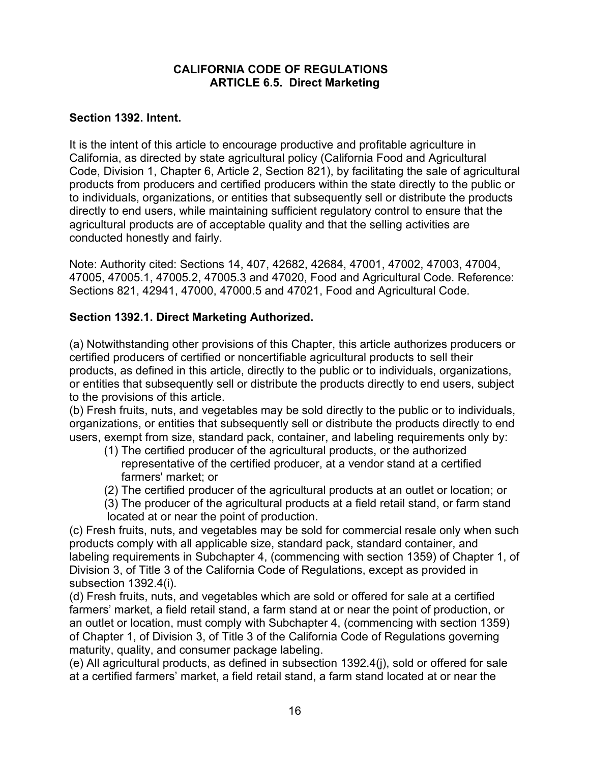### **CALIFORNIA CODE OF REGULATIONS ARTICLE 6.5. Direct Marketing**

### **Section 1392. Intent.**

It is the intent of this article to encourage productive and profitable agriculture in California, as directed by state agricultural policy (California Food and Agricultural Code, Division 1, Chapter 6, Article 2, Section 821), by facilitating the sale of agricultural products from producers and certified producers within the state directly to the public or to individuals, organizations, or entities that subsequently sell or distribute the products directly to end users, while maintaining sufficient regulatory control to ensure that the agricultural products are of acceptable quality and that the selling activities are conducted honestly and fairly.

Note: Authority cited: Sections 14, 407, 42682, 42684, 47001, 47002, 47003, 47004, 47005, 47005.1, 47005.2, 47005.3 and 47020, Food and Agricultural Code. Reference: Sections 821, 42941, 47000, 47000.5 and 47021, Food and Agricultural Code.

## **Section 1392.1. Direct Marketing Authorized.**

(a) Notwithstanding other provisions of this Chapter, this article authorizes producers or certified producers of certified or noncertifiable agricultural products to sell their products, as defined in this article, directly to the public or to individuals, organizations, or entities that subsequently sell or distribute the products directly to end users, subject to the provisions of this article.

(b) Fresh fruits, nuts, and vegetables may be sold directly to the public or to individuals, organizations, or entities that subsequently sell or distribute the products directly to end users, exempt from size, standard pack, container, and labeling requirements only by:

- (1) The certified producer of the agricultural products, or the authorized representative of the certified producer, at a vendor stand at a certified farmers' market; or
- (2) The certified producer of the agricultural products at an outlet or location; or
- (3) The producer of the agricultural products at a field retail stand, or farm stand located at or near the point of production.

(c) Fresh fruits, nuts, and vegetables may be sold for commercial resale only when such products comply with all applicable size, standard pack, standard container, and labeling requirements in Subchapter 4, (commencing with section 1359) of Chapter 1, of Division 3, of Title 3 of the California Code of Regulations, except as provided in subsection 1392.4(i).

(d) Fresh fruits, nuts, and vegetables which are sold or offered for sale at a certified farmers' market, a field retail stand, a farm stand at or near the point of production, or an outlet or location, must comply with Subchapter 4, (commencing with section 1359) of Chapter 1, of Division 3, of Title 3 of the California Code of Regulations governing maturity, quality, and consumer package labeling.

(e) All agricultural products, as defined in subsection 1392.4(j), sold or offered for sale at a certified farmers' market, a field retail stand, a farm stand located at or near the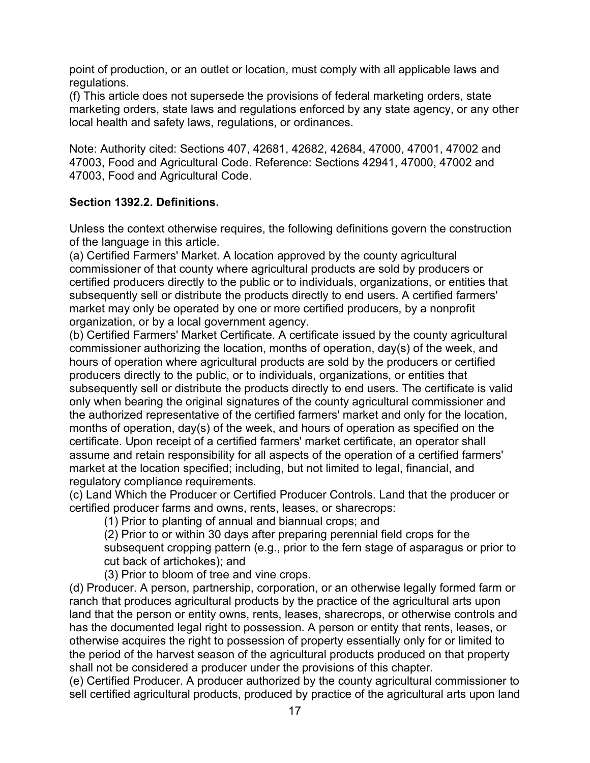point of production, or an outlet or location, must comply with all applicable laws and regulations.

(f) This article does not supersede the provisions of federal marketing orders, state marketing orders, state laws and regulations enforced by any state agency, or any other local health and safety laws, regulations, or ordinances.

Note: Authority cited: Sections 407, 42681, 42682, 42684, 47000, 47001, 47002 and 47003, Food and Agricultural Code. Reference: Sections 42941, 47000, 47002 and 47003, Food and Agricultural Code.

## **Section 1392.2. Definitions.**

Unless the context otherwise requires, the following definitions govern the construction of the language in this article.

(a) Certified Farmers' Market. A location approved by the county agricultural commissioner of that county where agricultural products are sold by producers or certified producers directly to the public or to individuals, organizations, or entities that subsequently sell or distribute the products directly to end users. A certified farmers' market may only be operated by one or more certified producers, by a nonprofit organization, or by a local government agency.

(b) Certified Farmers' Market Certificate. A certificate issued by the county agricultural commissioner authorizing the location, months of operation, day(s) of the week, and hours of operation where agricultural products are sold by the producers or certified producers directly to the public, or to individuals, organizations, or entities that subsequently sell or distribute the products directly to end users. The certificate is valid only when bearing the original signatures of the county agricultural commissioner and the authorized representative of the certified farmers' market and only for the location, months of operation, day(s) of the week, and hours of operation as specified on the certificate. Upon receipt of a certified farmers' market certificate, an operator shall assume and retain responsibility for all aspects of the operation of a certified farmers' market at the location specified; including, but not limited to legal, financial, and regulatory compliance requirements.

(c) Land Which the Producer or Certified Producer Controls. Land that the producer or certified producer farms and owns, rents, leases, or sharecrops:

(1) Prior to planting of annual and biannual crops; and

(2) Prior to or within 30 days after preparing perennial field crops for the subsequent cropping pattern (e.g., prior to the fern stage of asparagus or prior to cut back of artichokes); and

(3) Prior to bloom of tree and vine crops.

(d) Producer. A person, partnership, corporation, or an otherwise legally formed farm or ranch that produces agricultural products by the practice of the agricultural arts upon land that the person or entity owns, rents, leases, sharecrops, or otherwise controls and has the documented legal right to possession. A person or entity that rents, leases, or otherwise acquires the right to possession of property essentially only for or limited to the period of the harvest season of the agricultural products produced on that property shall not be considered a producer under the provisions of this chapter.

(e) Certified Producer. A producer authorized by the county agricultural commissioner to sell certified agricultural products, produced by practice of the agricultural arts upon land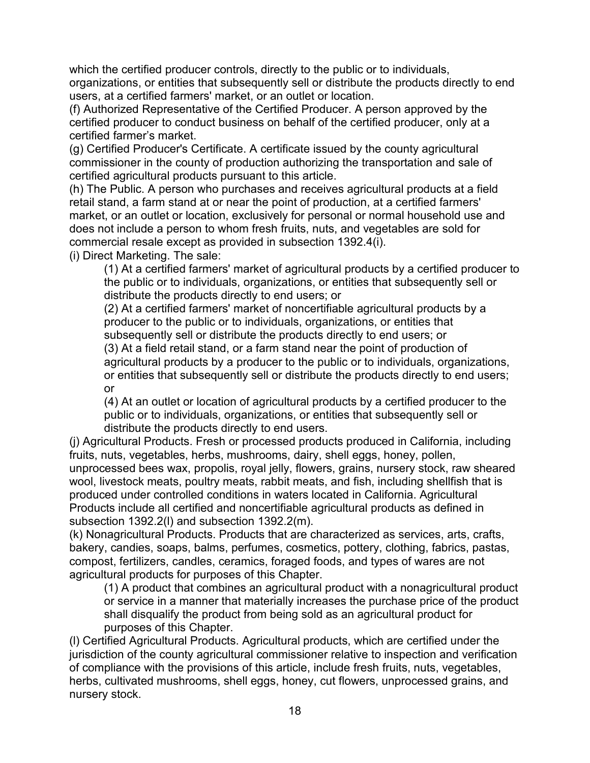which the certified producer controls, directly to the public or to individuals, organizations, or entities that subsequently sell or distribute the products directly to end users, at a certified farmers' market, or an outlet or location.

(f) Authorized Representative of the Certified Producer. A person approved by the certified producer to conduct business on behalf of the certified producer, only at a certified farmer's market.

(g) Certified Producer's Certificate. A certificate issued by the county agricultural commissioner in the county of production authorizing the transportation and sale of certified agricultural products pursuant to this article.

(h) The Public. A person who purchases and receives agricultural products at a field retail stand, a farm stand at or near the point of production, at a certified farmers' market, or an outlet or location, exclusively for personal or normal household use and does not include a person to whom fresh fruits, nuts, and vegetables are sold for commercial resale except as provided in subsection 1392.4(i). (i) Direct Marketing. The sale:

(1) At a certified farmers' market of agricultural products by a certified producer to the public or to individuals, organizations, or entities that subsequently sell or distribute the products directly to end users; or

(2) At a certified farmers' market of noncertifiable agricultural products by a producer to the public or to individuals, organizations, or entities that subsequently sell or distribute the products directly to end users; or

(3) At a field retail stand, or a farm stand near the point of production of agricultural products by a producer to the public or to individuals, organizations, or entities that subsequently sell or distribute the products directly to end users; or

(4) At an outlet or location of agricultural products by a certified producer to the public or to individuals, organizations, or entities that subsequently sell or distribute the products directly to end users.

(j) Agricultural Products. Fresh or processed products produced in California, including fruits, nuts, vegetables, herbs, mushrooms, dairy, shell eggs, honey, pollen, unprocessed bees wax, propolis, royal jelly, flowers, grains, nursery stock, raw sheared wool, livestock meats, poultry meats, rabbit meats, and fish, including shellfish that is produced under controlled conditions in waters located in California. Agricultural Products include all certified and noncertifiable agricultural products as defined in subsection 1392.2(l) and subsection 1392.2(m).

(k) Nonagricultural Products. Products that are characterized as services, arts, crafts, bakery, candies, soaps, balms, perfumes, cosmetics, pottery, clothing, fabrics, pastas, compost, fertilizers, candles, ceramics, foraged foods, and types of wares are not agricultural products for purposes of this Chapter.

(1) A product that combines an agricultural product with a nonagricultural product or service in a manner that materially increases the purchase price of the product shall disqualify the product from being sold as an agricultural product for purposes of this Chapter.

(l) Certified Agricultural Products. Agricultural products, which are certified under the jurisdiction of the county agricultural commissioner relative to inspection and verification of compliance with the provisions of this article, include fresh fruits, nuts, vegetables, herbs, cultivated mushrooms, shell eggs, honey, cut flowers, unprocessed grains, and nursery stock.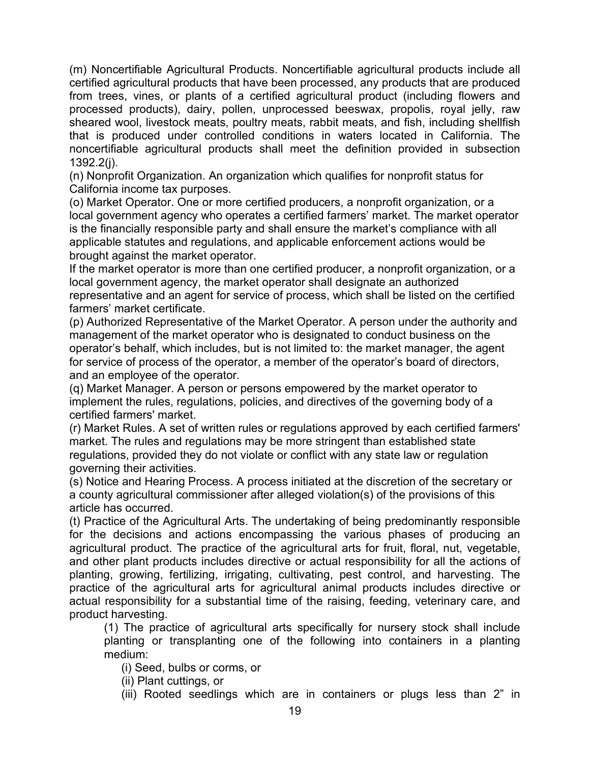(m) Noncertifiable Agricultural Products. Noncertifiable agricultural products include all certified agricultural products that have been processed, any products that are produced from trees, vines, or plants of a certified agricultural product (including flowers and processed products), dairy, pollen, unprocessed beeswax, propolis, royal jelly, raw sheared wool, livestock meats, poultry meats, rabbit meats, and fish, including shellfish that is produced under controlled conditions in waters located in California. The noncertifiable agricultural products shall meet the definition provided in subsection 1392.2(j).

(n) Nonprofit Organization. An organization which qualifies for nonprofit status for California income tax purposes.

(o) Market Operator. One or more certified producers, a nonprofit organization, or a local government agency who operates a certified farmers' market. The market operator is the financially responsible party and shall ensure the market's compliance with all applicable statutes and regulations, and applicable enforcement actions would be brought against the market operator.

If the market operator is more than one certified producer, a nonprofit organization, or a local government agency, the market operator shall designate an authorized representative and an agent for service of process, which shall be listed on the certified farmers' market certificate.

(p) Authorized Representative of the Market Operator. A person under the authority and management of the market operator who is designated to conduct business on the operator's behalf, which includes, but is not limited to: the market manager, the agent for service of process of the operator, a member of the operator's board of directors, and an employee of the operator.

(q) Market Manager. A person or persons empowered by the market operator to implement the rules, regulations, policies, and directives of the governing body of a certified farmers' market.

(r) Market Rules. A set of written rules or regulations approved by each certified farmers' market. The rules and regulations may be more stringent than established state regulations, provided they do not violate or conflict with any state law or regulation governing their activities.

(s) Notice and Hearing Process. A process initiated at the discretion of the secretary or a county agricultural commissioner after alleged violation(s) of the provisions of this article has occurred.

(t) Practice of the Agricultural Arts. The undertaking of being predominantly responsible for the decisions and actions encompassing the various phases of producing an agricultural product. The practice of the agricultural arts for fruit, floral, nut, vegetable, and other plant products includes directive or actual responsibility for all the actions of planting, growing, fertilizing, irrigating, cultivating, pest control, and harvesting. The practice of the agricultural arts for agricultural animal products includes directive or actual responsibility for a substantial time of the raising, feeding, veterinary care, and product harvesting.

(1) The practice of agricultural arts specifically for nursery stock shall include planting or transplanting one of the following into containers in a planting medium:

(i) Seed, bulbs or corms, or

(ii) Plant cuttings, or

(iii) Rooted seedlings which are in containers or plugs less than 2" in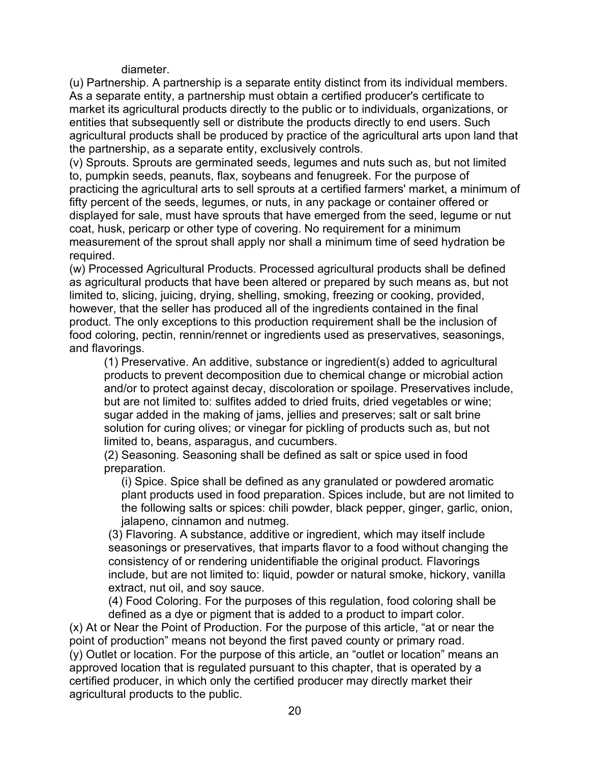diameter.

(u) Partnership. A partnership is a separate entity distinct from its individual members. As a separate entity, a partnership must obtain a certified producer's certificate to market its agricultural products directly to the public or to individuals, organizations, or entities that subsequently sell or distribute the products directly to end users. Such agricultural products shall be produced by practice of the agricultural arts upon land that the partnership, as a separate entity, exclusively controls.

(v) Sprouts. Sprouts are germinated seeds, legumes and nuts such as, but not limited to, pumpkin seeds, peanuts, flax, soybeans and fenugreek. For the purpose of practicing the agricultural arts to sell sprouts at a certified farmers' market, a minimum of fifty percent of the seeds, legumes, or nuts, in any package or container offered or displayed for sale, must have sprouts that have emerged from the seed, legume or nut coat, husk, pericarp or other type of covering. No requirement for a minimum measurement of the sprout shall apply nor shall a minimum time of seed hydration be required.

(w) Processed Agricultural Products. Processed agricultural products shall be defined as agricultural products that have been altered or prepared by such means as, but not limited to, slicing, juicing, drying, shelling, smoking, freezing or cooking, provided, however, that the seller has produced all of the ingredients contained in the final product. The only exceptions to this production requirement shall be the inclusion of food coloring, pectin, rennin/rennet or ingredients used as preservatives, seasonings, and flavorings.

(1) Preservative. An additive, substance or ingredient(s) added to agricultural products to prevent decomposition due to chemical change or microbial action and/or to protect against decay, discoloration or spoilage. Preservatives include, but are not limited to: sulfites added to dried fruits, dried vegetables or wine; sugar added in the making of jams, jellies and preserves; salt or salt brine solution for curing olives; or vinegar for pickling of products such as, but not limited to, beans, asparagus, and cucumbers.

(2) Seasoning. Seasoning shall be defined as salt or spice used in food preparation.

(i) Spice. Spice shall be defined as any granulated or powdered aromatic plant products used in food preparation. Spices include, but are not limited to the following salts or spices: chili powder, black pepper, ginger, garlic, onion, jalapeno, cinnamon and nutmeg.

(3) Flavoring. A substance, additive or ingredient, which may itself include seasonings or preservatives, that imparts flavor to a food without changing the consistency of or rendering unidentifiable the original product. Flavorings include, but are not limited to: liquid, powder or natural smoke, hickory, vanilla extract, nut oil, and soy sauce.

(4) Food Coloring. For the purposes of this regulation, food coloring shall be defined as a dye or pigment that is added to a product to impart color.

(x) At or Near the Point of Production. For the purpose of this article, "at or near the point of production" means not beyond the first paved county or primary road. (y) Outlet or location. For the purpose of this article, an "outlet or location" means an approved location that is regulated pursuant to this chapter, that is operated by a certified producer, in which only the certified producer may directly market their agricultural products to the public.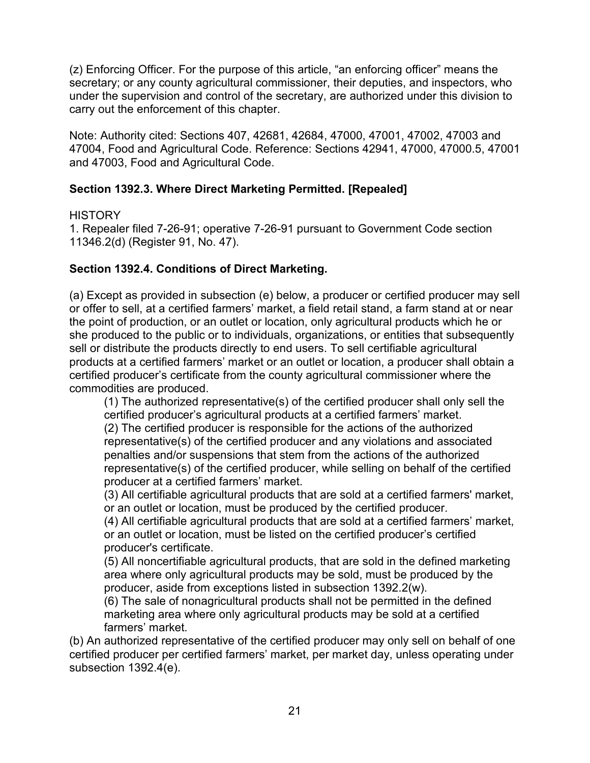(z) Enforcing Officer. For the purpose of this article, "an enforcing officer" means the secretary; or any county agricultural commissioner, their deputies, and inspectors, who under the supervision and control of the secretary, are authorized under this division to carry out the enforcement of this chapter.

Note: Authority cited: Sections 407, 42681, 42684, 47000, 47001, 47002, 47003 and 47004, Food and Agricultural Code. Reference: Sections 42941, 47000, 47000.5, 47001 and 47003, Food and Agricultural Code.

## **Section 1392.3. Where Direct Marketing Permitted. [Repealed]**

### **HISTORY**

1. Repealer filed 7-26-91; operative 7-26-91 pursuant to Government Code section 11346.2(d) (Register 91, No. 47).

## **Section 1392.4. Conditions of Direct Marketing.**

(a) Except as provided in subsection (e) below, a producer or certified producer may sell or offer to sell, at a certified farmers' market, a field retail stand, a farm stand at or near the point of production, or an outlet or location, only agricultural products which he or she produced to the public or to individuals, organizations, or entities that subsequently sell or distribute the products directly to end users. To sell certifiable agricultural products at a certified farmers' market or an outlet or location, a producer shall obtain a certified producer's certificate from the county agricultural commissioner where the commodities are produced.

(1) The authorized representative(s) of the certified producer shall only sell the certified producer's agricultural products at a certified farmers' market. (2) The certified producer is responsible for the actions of the authorized representative(s) of the certified producer and any violations and associated penalties and/or suspensions that stem from the actions of the authorized representative(s) of the certified producer, while selling on behalf of the certified producer at a certified farmers' market.

(3) All certifiable agricultural products that are sold at a certified farmers' market, or an outlet or location, must be produced by the certified producer.

(4) All certifiable agricultural products that are sold at a certified farmers' market, or an outlet or location, must be listed on the certified producer's certified producer's certificate.

(5) All noncertifiable agricultural products, that are sold in the defined marketing area where only agricultural products may be sold, must be produced by the producer, aside from exceptions listed in subsection 1392.2(w).

(6) The sale of nonagricultural products shall not be permitted in the defined marketing area where only agricultural products may be sold at a certified farmers' market.

(b) An authorized representative of the certified producer may only sell on behalf of one certified producer per certified farmers' market, per market day, unless operating under subsection 1392.4(e).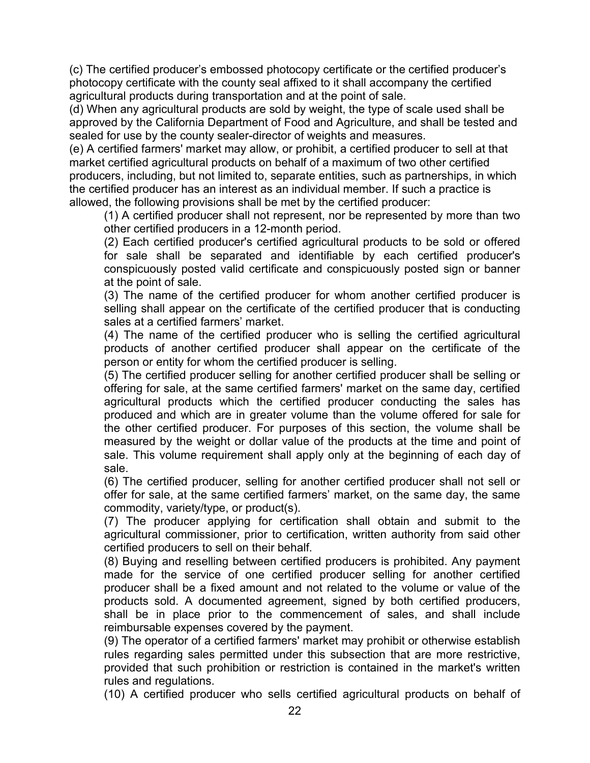(c) The certified producer's embossed photocopy certificate or the certified producer's photocopy certificate with the county seal affixed to it shall accompany the certified agricultural products during transportation and at the point of sale.

(d) When any agricultural products are sold by weight, the type of scale used shall be approved by the California Department of Food and Agriculture, and shall be tested and sealed for use by the county sealer-director of weights and measures.

(e) A certified farmers' market may allow, or prohibit, a certified producer to sell at that market certified agricultural products on behalf of a maximum of two other certified producers, including, but not limited to, separate entities, such as partnerships, in which the certified producer has an interest as an individual member. If such a practice is allowed, the following provisions shall be met by the certified producer:

(1) A certified producer shall not represent, nor be represented by more than two other certified producers in a 12-month period.

(2) Each certified producer's certified agricultural products to be sold or offered for sale shall be separated and identifiable by each certified producer's conspicuously posted valid certificate and conspicuously posted sign or banner at the point of sale.

(3) The name of the certified producer for whom another certified producer is selling shall appear on the certificate of the certified producer that is conducting sales at a certified farmers' market.

(4) The name of the certified producer who is selling the certified agricultural products of another certified producer shall appear on the certificate of the person or entity for whom the certified producer is selling.

(5) The certified producer selling for another certified producer shall be selling or offering for sale, at the same certified farmers' market on the same day, certified agricultural products which the certified producer conducting the sales has produced and which are in greater volume than the volume offered for sale for the other certified producer. For purposes of this section, the volume shall be measured by the weight or dollar value of the products at the time and point of sale. This volume requirement shall apply only at the beginning of each day of sale.

(6) The certified producer, selling for another certified producer shall not sell or offer for sale, at the same certified farmers' market, on the same day, the same commodity, variety/type, or product(s).

(7) The producer applying for certification shall obtain and submit to the agricultural commissioner, prior to certification, written authority from said other certified producers to sell on their behalf.

(8) Buying and reselling between certified producers is prohibited. Any payment made for the service of one certified producer selling for another certified producer shall be a fixed amount and not related to the volume or value of the products sold. A documented agreement, signed by both certified producers, shall be in place prior to the commencement of sales, and shall include reimbursable expenses covered by the payment.

(9) The operator of a certified farmers' market may prohibit or otherwise establish rules regarding sales permitted under this subsection that are more restrictive, provided that such prohibition or restriction is contained in the market's written rules and regulations.

(10) A certified producer who sells certified agricultural products on behalf of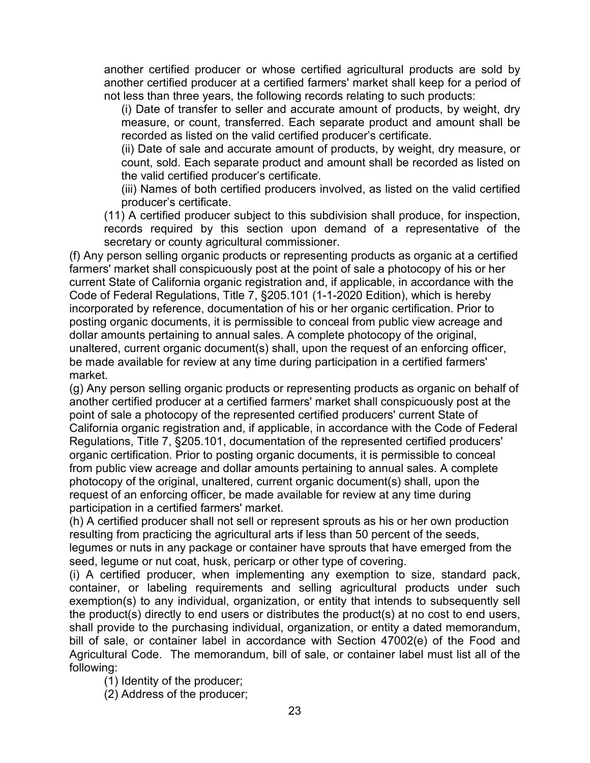another certified producer or whose certified agricultural products are sold by another certified producer at a certified farmers' market shall keep for a period of not less than three years, the following records relating to such products:

(i) Date of transfer to seller and accurate amount of products, by weight, dry measure, or count, transferred. Each separate product and amount shall be recorded as listed on the valid certified producer's certificate.

(ii) Date of sale and accurate amount of products, by weight, dry measure, or count, sold. Each separate product and amount shall be recorded as listed on the valid certified producer's certificate.

(iii) Names of both certified producers involved, as listed on the valid certified producer's certificate.

(11) A certified producer subject to this subdivision shall produce, for inspection, records required by this section upon demand of a representative of the secretary or county agricultural commissioner.

(f) Any person selling organic products or representing products as organic at a certified farmers' market shall conspicuously post at the point of sale a photocopy of his or her current State of California organic registration and, if applicable, in accordance with the Code of Federal Regulations, Title 7, §205.101 (1-1-2020 Edition), which is hereby incorporated by reference, documentation of his or her organic certification. Prior to posting organic documents, it is permissible to conceal from public view acreage and dollar amounts pertaining to annual sales. A complete photocopy of the original, unaltered, current organic document(s) shall, upon the request of an enforcing officer, be made available for review at any time during participation in a certified farmers' market.

(g) Any person selling organic products or representing products as organic on behalf of another certified producer at a certified farmers' market shall conspicuously post at the point of sale a photocopy of the represented certified producers' current State of California organic registration and, if applicable, in accordance with the Code of Federal Regulations, Title 7, §205.101, documentation of the represented certified producers' organic certification. Prior to posting organic documents, it is permissible to conceal from public view acreage and dollar amounts pertaining to annual sales. A complete photocopy of the original, unaltered, current organic document(s) shall, upon the request of an enforcing officer, be made available for review at any time during participation in a certified farmers' market.

(h) A certified producer shall not sell or represent sprouts as his or her own production resulting from practicing the agricultural arts if less than 50 percent of the seeds, legumes or nuts in any package or container have sprouts that have emerged from the seed, legume or nut coat, husk, pericarp or other type of covering.

(i) A certified producer, when implementing any exemption to size, standard pack, container, or labeling requirements and selling agricultural products under such exemption(s) to any individual, organization, or entity that intends to subsequently sell the product(s) directly to end users or distributes the product(s) at no cost to end users, shall provide to the purchasing individual, organization, or entity a dated memorandum, bill of sale, or container label in accordance with Section 47002(e) of the Food and Agricultural Code. The memorandum, bill of sale, or container label must list all of the following:

(1) Identity of the producer;

(2) Address of the producer;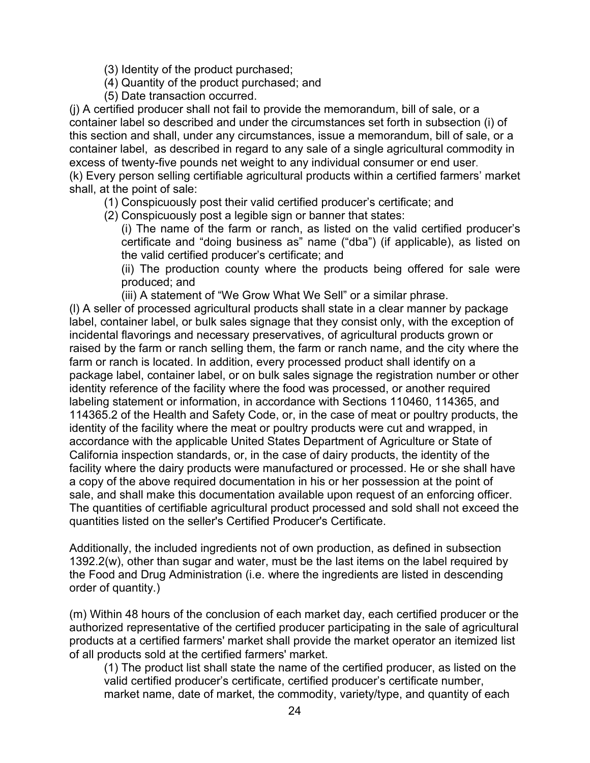- (3) Identity of the product purchased;
- (4) Quantity of the product purchased; and
- (5) Date transaction occurred.

(j) A certified producer shall not fail to provide the memorandum, bill of sale, or a container label so described and under the circumstances set forth in subsection (i) of this section and shall, under any circumstances, issue a memorandum, bill of sale, or a container label, as described in regard to any sale of a single agricultural commodity in excess of twenty-five pounds net weight to any individual consumer or end user.

(k) Every person selling certifiable agricultural products within a certified farmers' market shall, at the point of sale:

- (1) Conspicuously post their valid certified producer's certificate; and
- (2) Conspicuously post a legible sign or banner that states:

(i) The name of the farm or ranch, as listed on the valid certified producer's certificate and "doing business as" name ("dba") (if applicable), as listed on the valid certified producer's certificate; and

(ii) The production county where the products being offered for sale were produced; and

(iii) A statement of "We Grow What We Sell" or a similar phrase.

(l) A seller of processed agricultural products shall state in a clear manner by package label, container label, or bulk sales signage that they consist only, with the exception of incidental flavorings and necessary preservatives, of agricultural products grown or raised by the farm or ranch selling them, the farm or ranch name, and the city where the farm or ranch is located. In addition, every processed product shall identify on a package label, container label, or on bulk sales signage the registration number or other identity reference of the facility where the food was processed, or another required labeling statement or information, in accordance with Sections 110460, 114365, and 114365.2 of the Health and Safety Code, or, in the case of meat or poultry products, the identity of the facility where the meat or poultry products were cut and wrapped, in accordance with the applicable United States Department of Agriculture or State of California inspection standards, or, in the case of dairy products, the identity of the facility where the dairy products were manufactured or processed. He or she shall have a copy of the above required documentation in his or her possession at the point of sale, and shall make this documentation available upon request of an enforcing officer. The quantities of certifiable agricultural product processed and sold shall not exceed the quantities listed on the seller's Certified Producer's Certificate.

Additionally, the included ingredients not of own production, as defined in subsection 1392.2(w), other than sugar and water, must be the last items on the label required by the Food and Drug Administration (i.e. where the ingredients are listed in descending order of quantity.)

(m) Within 48 hours of the conclusion of each market day, each certified producer or the authorized representative of the certified producer participating in the sale of agricultural products at a certified farmers' market shall provide the market operator an itemized list of all products sold at the certified farmers' market.

(1) The product list shall state the name of the certified producer, as listed on the valid certified producer's certificate, certified producer's certificate number, market name, date of market, the commodity, variety/type, and quantity of each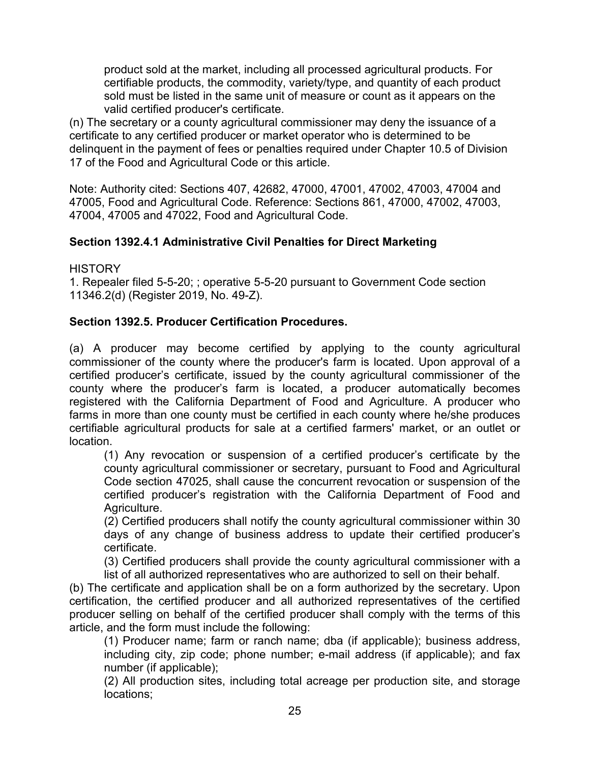product sold at the market, including all processed agricultural products. For certifiable products, the commodity, variety/type, and quantity of each product sold must be listed in the same unit of measure or count as it appears on the valid certified producer's certificate.

(n) The secretary or a county agricultural commissioner may deny the issuance of a certificate to any certified producer or market operator who is determined to be delinquent in the payment of fees or penalties required under Chapter 10.5 of Division 17 of the Food and Agricultural Code or this article.

Note: Authority cited: Sections 407, 42682, 47000, 47001, 47002, 47003, 47004 and 47005, Food and Agricultural Code. Reference: Sections 861, 47000, 47002, 47003, 47004, 47005 and 47022, Food and Agricultural Code.

## **Section 1392.4.1 Administrative Civil Penalties for Direct Marketing**

**HISTORY** 

1. Repealer filed 5-5-20; ; operative 5-5-20 pursuant to Government Code section 11346.2(d) (Register 2019, No. 49-Z).

## **Section 1392.5. Producer Certification Procedures.**

(a) A producer may become certified by applying to the county agricultural commissioner of the county where the producer's farm is located. Upon approval of a certified producer's certificate, issued by the county agricultural commissioner of the county where the producer's farm is located, a producer automatically becomes registered with the California Department of Food and Agriculture. A producer who farms in more than one county must be certified in each county where he/she produces certifiable agricultural products for sale at a certified farmers' market, or an outlet or location.

(1) Any revocation or suspension of a certified producer's certificate by the county agricultural commissioner or secretary, pursuant to Food and Agricultural Code section 47025, shall cause the concurrent revocation or suspension of the certified producer's registration with the California Department of Food and Agriculture.

(2) Certified producers shall notify the county agricultural commissioner within 30 days of any change of business address to update their certified producer's certificate.

(3) Certified producers shall provide the county agricultural commissioner with a list of all authorized representatives who are authorized to sell on their behalf.

(b) The certificate and application shall be on a form authorized by the secretary. Upon certification, the certified producer and all authorized representatives of the certified producer selling on behalf of the certified producer shall comply with the terms of this article, and the form must include the following:

(1) Producer name; farm or ranch name; dba (if applicable); business address, including city, zip code; phone number; e-mail address (if applicable); and fax number (if applicable);

(2) All production sites, including total acreage per production site, and storage locations;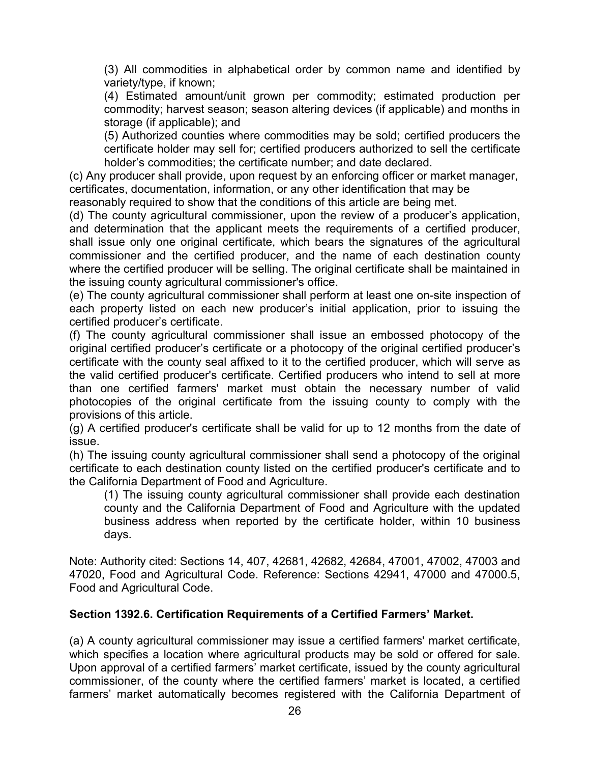(3) All commodities in alphabetical order by common name and identified by variety/type, if known;

(4) Estimated amount/unit grown per commodity; estimated production per commodity; harvest season; season altering devices (if applicable) and months in storage (if applicable); and

(5) Authorized counties where commodities may be sold; certified producers the certificate holder may sell for; certified producers authorized to sell the certificate holder's commodities; the certificate number; and date declared.

(c) Any producer shall provide, upon request by an enforcing officer or market manager, certificates, documentation, information, or any other identification that may be

reasonably required to show that the conditions of this article are being met.

(d) The county agricultural commissioner, upon the review of a producer's application, and determination that the applicant meets the requirements of a certified producer, shall issue only one original certificate, which bears the signatures of the agricultural commissioner and the certified producer, and the name of each destination county where the certified producer will be selling. The original certificate shall be maintained in the issuing county agricultural commissioner's office.

(e) The county agricultural commissioner shall perform at least one on-site inspection of each property listed on each new producer's initial application, prior to issuing the certified producer's certificate.

(f) The county agricultural commissioner shall issue an embossed photocopy of the original certified producer's certificate or a photocopy of the original certified producer's certificate with the county seal affixed to it to the certified producer, which will serve as the valid certified producer's certificate. Certified producers who intend to sell at more than one certified farmers' market must obtain the necessary number of valid photocopies of the original certificate from the issuing county to comply with the provisions of this article.

(g) A certified producer's certificate shall be valid for up to 12 months from the date of issue.

(h) The issuing county agricultural commissioner shall send a photocopy of the original certificate to each destination county listed on the certified producer's certificate and to the California Department of Food and Agriculture.

(1) The issuing county agricultural commissioner shall provide each destination county and the California Department of Food and Agriculture with the updated business address when reported by the certificate holder, within 10 business days.

Note: Authority cited: Sections 14, 407, 42681, 42682, 42684, 47001, 47002, 47003 and 47020, Food and Agricultural Code. Reference: Sections 42941, 47000 and 47000.5, Food and Agricultural Code.

## **Section 1392.6. Certification Requirements of a Certified Farmers' Market.**

(a) A county agricultural commissioner may issue a certified farmers' market certificate, which specifies a location where agricultural products may be sold or offered for sale. Upon approval of a certified farmers' market certificate, issued by the county agricultural commissioner, of the county where the certified farmers' market is located, a certified farmers' market automatically becomes registered with the California Department of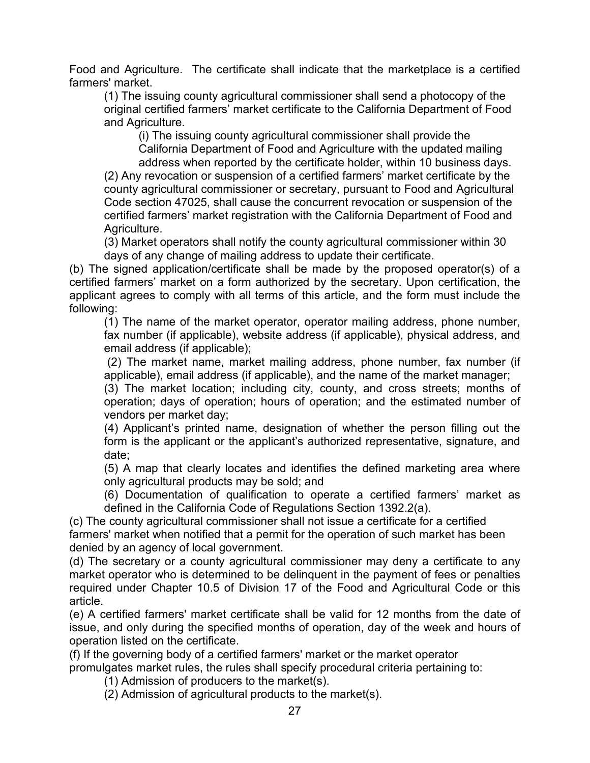Food and Agriculture. The certificate shall indicate that the marketplace is a certified farmers' market.

(1) The issuing county agricultural commissioner shall send a photocopy of the original certified farmers' market certificate to the California Department of Food and Agriculture.

(i) The issuing county agricultural commissioner shall provide the California Department of Food and Agriculture with the updated mailing address when reported by the certificate holder, within 10 business days.

(2) Any revocation or suspension of a certified farmers' market certificate by the county agricultural commissioner or secretary, pursuant to Food and Agricultural Code section 47025, shall cause the concurrent revocation or suspension of the certified farmers' market registration with the California Department of Food and Agriculture.

(3) Market operators shall notify the county agricultural commissioner within 30 days of any change of mailing address to update their certificate.

(b) The signed application/certificate shall be made by the proposed operator(s) of a certified farmers' market on a form authorized by the secretary. Upon certification, the applicant agrees to comply with all terms of this article, and the form must include the following:

(1) The name of the market operator, operator mailing address, phone number, fax number (if applicable), website address (if applicable), physical address, and email address (if applicable);

(2) The market name, market mailing address, phone number, fax number (if applicable), email address (if applicable), and the name of the market manager;

(3) The market location; including city, county, and cross streets; months of operation; days of operation; hours of operation; and the estimated number of vendors per market day;

(4) Applicant's printed name, designation of whether the person filling out the form is the applicant or the applicant's authorized representative, signature, and date;

(5) A map that clearly locates and identifies the defined marketing area where only agricultural products may be sold; and

(6) Documentation of qualification to operate a certified farmers' market as defined in the California Code of Regulations Section 1392.2(a).

(c) The county agricultural commissioner shall not issue a certificate for a certified farmers' market when notified that a permit for the operation of such market has been denied by an agency of local government.

(d) The secretary or a county agricultural commissioner may deny a certificate to any market operator who is determined to be delinquent in the payment of fees or penalties required under Chapter 10.5 of Division 17 of the Food and Agricultural Code or this article.

(e) A certified farmers' market certificate shall be valid for 12 months from the date of issue, and only during the specified months of operation, day of the week and hours of operation listed on the certificate.

(f) If the governing body of a certified farmers' market or the market operator promulgates market rules, the rules shall specify procedural criteria pertaining to:

(1) Admission of producers to the market(s).

(2) Admission of agricultural products to the market(s).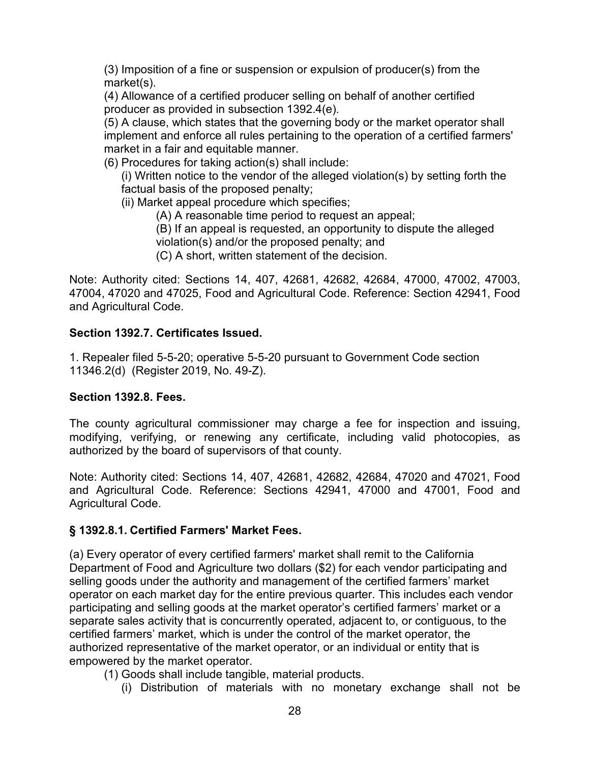(3) Imposition of a fine or suspension or expulsion of producer(s) from the market(s).

(4) Allowance of a certified producer selling on behalf of another certified producer as provided in subsection 1392.4(e).

(5) A clause, which states that the governing body or the market operator shall implement and enforce all rules pertaining to the operation of a certified farmers' market in a fair and equitable manner.

(6) Procedures for taking action(s) shall include:

(i) Written notice to the vendor of the alleged violation(s) by setting forth the factual basis of the proposed penalty;

- (ii) Market appeal procedure which specifies;
	- (A) A reasonable time period to request an appeal;
	- (B) If an appeal is requested, an opportunity to dispute the alleged
	- violation(s) and/or the proposed penalty; and
	- (C) A short, written statement of the decision.

Note: Authority cited: Sections 14, 407, 42681, 42682, 42684, 47000, 47002, 47003, 47004, 47020 and 47025, Food and Agricultural Code. Reference: Section 42941, Food and Agricultural Code.

### **Section 1392.7. Certificates Issued.**

1. Repealer filed 5-5-20; operative 5-5-20 pursuant to Government Code section 11346.2(d) (Register 2019, No. 49-Z).

### **Section 1392.8. Fees.**

The county agricultural commissioner may charge a fee for inspection and issuing, modifying, verifying, or renewing any certificate, including valid photocopies, as authorized by the board of supervisors of that county.

Note: Authority cited: Sections 14, 407, 42681, 42682, 42684, 47020 and 47021, Food and Agricultural Code. Reference: Sections 42941, 47000 and 47001, Food and Agricultural Code.

## **§ 1392.8.1. Certified Farmers' Market Fees.**

(a) Every operator of every certified farmers' market shall remit to the California Department of Food and Agriculture two dollars (\$2) for each vendor participating and selling goods under the authority and management of the certified farmers' market operator on each market day for the entire previous quarter. This includes each vendor participating and selling goods at the market operator's certified farmers' market or a separate sales activity that is concurrently operated, adjacent to, or contiguous, to the certified farmers' market, which is under the control of the market operator, the authorized representative of the market operator, or an individual or entity that is empowered by the market operator.

- (1) Goods shall include tangible, material products.
	- (i) Distribution of materials with no monetary exchange shall not be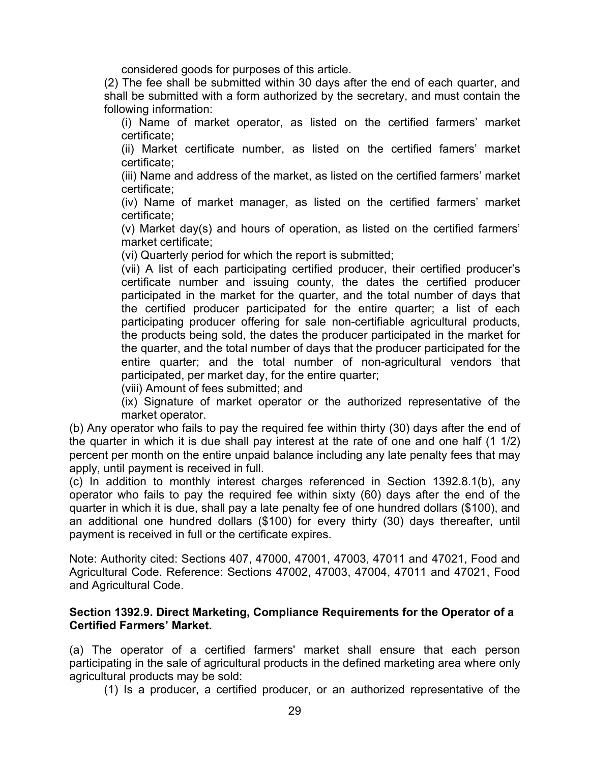considered goods for purposes of this article.

(2) The fee shall be submitted within 30 days after the end of each quarter, and shall be submitted with a form authorized by the secretary, and must contain the following information:

(i) Name of market operator, as listed on the certified farmers' market certificate;

(ii) Market certificate number, as listed on the certified famers' market certificate;

(iii) Name and address of the market, as listed on the certified farmers' market certificate;

(iv) Name of market manager, as listed on the certified farmers' market certificate;

(v) Market day(s) and hours of operation, as listed on the certified farmers' market certificate;

(vi) Quarterly period for which the report is submitted;

(vii) A list of each participating certified producer, their certified producer's certificate number and issuing county, the dates the certified producer participated in the market for the quarter, and the total number of days that the certified producer participated for the entire quarter; a list of each participating producer offering for sale non-certifiable agricultural products, the products being sold, the dates the producer participated in the market for the quarter, and the total number of days that the producer participated for the entire quarter; and the total number of non-agricultural vendors that participated, per market day, for the entire quarter;

(viii) Amount of fees submitted; and

(ix) Signature of market operator or the authorized representative of the market operator.

(b) Any operator who fails to pay the required fee within thirty (30) days after the end of the quarter in which it is due shall pay interest at the rate of one and one half (1 1/2) percent per month on the entire unpaid balance including any late penalty fees that may apply, until payment is received in full.

(c) In addition to monthly interest charges referenced in Section 1392.8.1(b), any operator who fails to pay the required fee within sixty (60) days after the end of the quarter in which it is due, shall pay a late penalty fee of one hundred dollars (\$100), and an additional one hundred dollars (\$100) for every thirty (30) days thereafter, until payment is received in full or the certificate expires.

Note: Authority cited: Sections 407, 47000, 47001, 47003, 47011 and 47021, Food and Agricultural Code. Reference: Sections 47002, 47003, 47004, 47011 and 47021, Food and Agricultural Code.

### **Section 1392.9. Direct Marketing, Compliance Requirements for the Operator of a Certified Farmers' Market.**

(a) The operator of a certified farmers' market shall ensure that each person participating in the sale of agricultural products in the defined marketing area where only agricultural products may be sold:

(1) Is a producer, a certified producer, or an authorized representative of the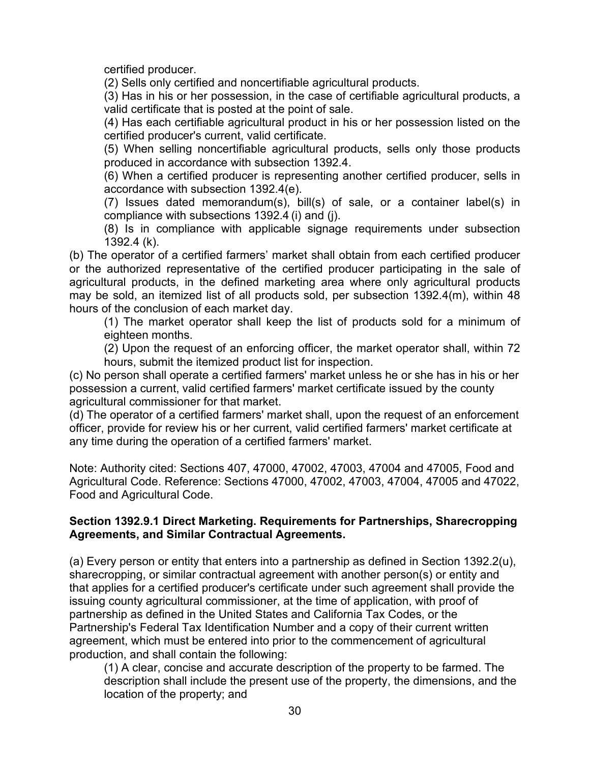certified producer.

(2) Sells only certified and noncertifiable agricultural products.

(3) Has in his or her possession, in the case of certifiable agricultural products, a valid certificate that is posted at the point of sale.

(4) Has each certifiable agricultural product in his or her possession listed on the certified producer's current, valid certificate.

(5) When selling noncertifiable agricultural products, sells only those products produced in accordance with subsection 1392.4.

(6) When a certified producer is representing another certified producer, sells in accordance with subsection 1392.4(e).

(7) Issues dated memorandum(s), bill(s) of sale, or a container label(s) in compliance with subsections 1392.4 (i) and (j).

(8) Is in compliance with applicable signage requirements under subsection 1392.4 (k).

(b) The operator of a certified farmers' market shall obtain from each certified producer or the authorized representative of the certified producer participating in the sale of agricultural products, in the defined marketing area where only agricultural products may be sold, an itemized list of all products sold, per subsection 1392.4(m), within 48 hours of the conclusion of each market day.

(1) The market operator shall keep the list of products sold for a minimum of eighteen months.

(2) Upon the request of an enforcing officer, the market operator shall, within 72 hours, submit the itemized product list for inspection.

(c) No person shall operate a certified farmers' market unless he or she has in his or her possession a current, valid certified farmers' market certificate issued by the county agricultural commissioner for that market.

(d) The operator of a certified farmers' market shall, upon the request of an enforcement officer, provide for review his or her current, valid certified farmers' market certificate at any time during the operation of a certified farmers' market.

Note: Authority cited: Sections 407, 47000, 47002, 47003, 47004 and 47005, Food and Agricultural Code. Reference: Sections 47000, 47002, 47003, 47004, 47005 and 47022, Food and Agricultural Code.

### **Section 1392.9.1 Direct Marketing. Requirements for Partnerships, Sharecropping Agreements, and Similar Contractual Agreements.**

(a) Every person or entity that enters into a partnership as defined in Section 1392.2(u), sharecropping, or similar contractual agreement with another person(s) or entity and that applies for a certified producer's certificate under such agreement shall provide the issuing county agricultural commissioner, at the time of application, with proof of partnership as defined in the United States and California Tax Codes, or the Partnership's Federal Tax Identification Number and a copy of their current written agreement, which must be entered into prior to the commencement of agricultural production, and shall contain the following:

(1) A clear, concise and accurate description of the property to be farmed. The description shall include the present use of the property, the dimensions, and the location of the property; and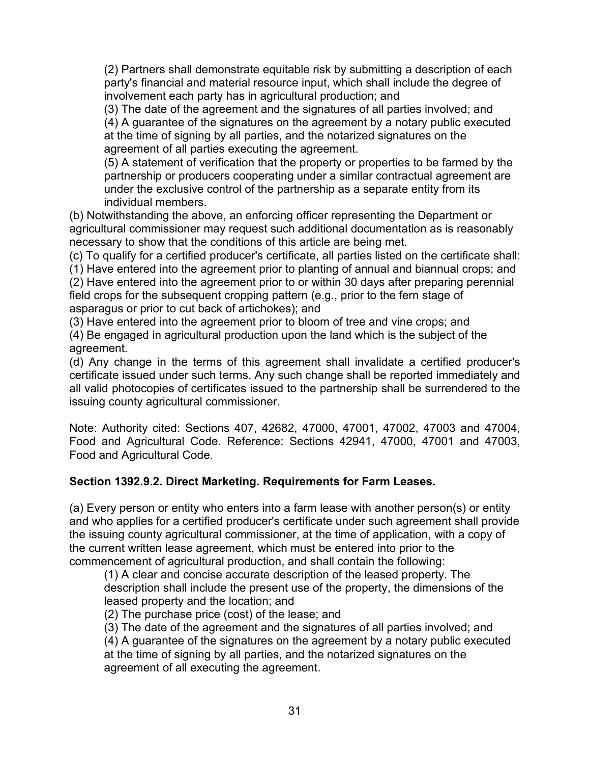(2) Partners shall demonstrate equitable risk by submitting a description of each party's financial and material resource input, which shall include the degree of involvement each party has in agricultural production; and

(3) The date of the agreement and the signatures of all parties involved; and

(4) A guarantee of the signatures on the agreement by a notary public executed at the time of signing by all parties, and the notarized signatures on the agreement of all parties executing the agreement.

(5) A statement of verification that the property or properties to be farmed by the partnership or producers cooperating under a similar contractual agreement are under the exclusive control of the partnership as a separate entity from its individual members.

(b) Notwithstanding the above, an enforcing officer representing the Department or agricultural commissioner may request such additional documentation as is reasonably necessary to show that the conditions of this article are being met.

(c) To qualify for a certified producer's certificate, all parties listed on the certificate shall:

(1) Have entered into the agreement prior to planting of annual and biannual crops; and

(2) Have entered into the agreement prior to or within 30 days after preparing perennial field crops for the subsequent cropping pattern (e.g., prior to the fern stage of asparagus or prior to cut back of artichokes); and

(3) Have entered into the agreement prior to bloom of tree and vine crops; and

(4) Be engaged in agricultural production upon the land which is the subject of the agreement.

(d) Any change in the terms of this agreement shall invalidate a certified producer's certificate issued under such terms. Any such change shall be reported immediately and all valid photocopies of certificates issued to the partnership shall be surrendered to the issuing county agricultural commissioner.

Note: Authority cited: Sections 407, 42682, 47000, 47001, 47002, 47003 and 47004, Food and Agricultural Code. Reference: Sections 42941, 47000, 47001 and 47003, Food and Agricultural Code.

## **Section 1392.9.2. Direct Marketing. Requirements for Farm Leases.**

(a) Every person or entity who enters into a farm lease with another person(s) or entity and who applies for a certified producer's certificate under such agreement shall provide the issuing county agricultural commissioner, at the time of application, with a copy of the current written lease agreement, which must be entered into prior to the commencement of agricultural production, and shall contain the following:

(1) A clear and concise accurate description of the leased property. The description shall include the present use of the property, the dimensions of the leased property and the location; and

(2) The purchase price (cost) of the lease; and

(3) The date of the agreement and the signatures of all parties involved; and

(4) A guarantee of the signatures on the agreement by a notary public executed at the time of signing by all parties, and the notarized signatures on the agreement of all executing the agreement.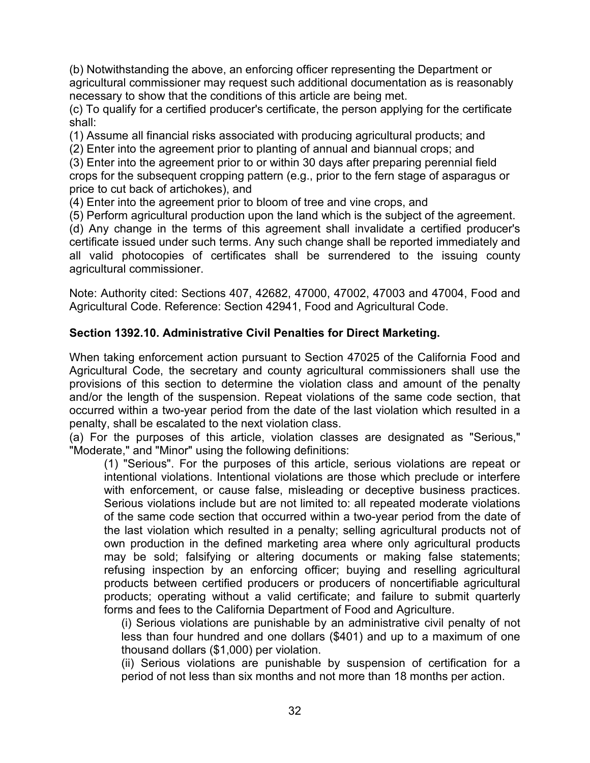(b) Notwithstanding the above, an enforcing officer representing the Department or agricultural commissioner may request such additional documentation as is reasonably necessary to show that the conditions of this article are being met.

(c) To qualify for a certified producer's certificate, the person applying for the certificate shall:

(1) Assume all financial risks associated with producing agricultural products; and

(2) Enter into the agreement prior to planting of annual and biannual crops; and

(3) Enter into the agreement prior to or within 30 days after preparing perennial field crops for the subsequent cropping pattern (e.g., prior to the fern stage of asparagus or price to cut back of artichokes), and

(4) Enter into the agreement prior to bloom of tree and vine crops, and

(5) Perform agricultural production upon the land which is the subject of the agreement.

(d) Any change in the terms of this agreement shall invalidate a certified producer's certificate issued under such terms. Any such change shall be reported immediately and all valid photocopies of certificates shall be surrendered to the issuing county agricultural commissioner.

Note: Authority cited: Sections 407, 42682, 47000, 47002, 47003 and 47004, Food and Agricultural Code. Reference: Section 42941, Food and Agricultural Code.

### **Section 1392.10. Administrative Civil Penalties for Direct Marketing.**

When taking enforcement action pursuant to Section 47025 of the California Food and Agricultural Code, the secretary and county agricultural commissioners shall use the provisions of this section to determine the violation class and amount of the penalty and/or the length of the suspension. Repeat violations of the same code section, that occurred within a two-year period from the date of the last violation which resulted in a penalty, shall be escalated to the next violation class.

(a) For the purposes of this article, violation classes are designated as "Serious," "Moderate," and "Minor" using the following definitions:

(1) "Serious". For the purposes of this article, serious violations are repeat or intentional violations. Intentional violations are those which preclude or interfere with enforcement, or cause false, misleading or deceptive business practices. Serious violations include but are not limited to: all repeated moderate violations of the same code section that occurred within a two-year period from the date of the last violation which resulted in a penalty; selling agricultural products not of own production in the defined marketing area where only agricultural products may be sold; falsifying or altering documents or making false statements; refusing inspection by an enforcing officer; buying and reselling agricultural products between certified producers or producers of noncertifiable agricultural products; operating without a valid certificate; and failure to submit quarterly forms and fees to the California Department of Food and Agriculture.

(i) Serious violations are punishable by an administrative civil penalty of not less than four hundred and one dollars (\$401) and up to a maximum of one thousand dollars (\$1,000) per violation.

(ii) Serious violations are punishable by suspension of certification for a period of not less than six months and not more than 18 months per action.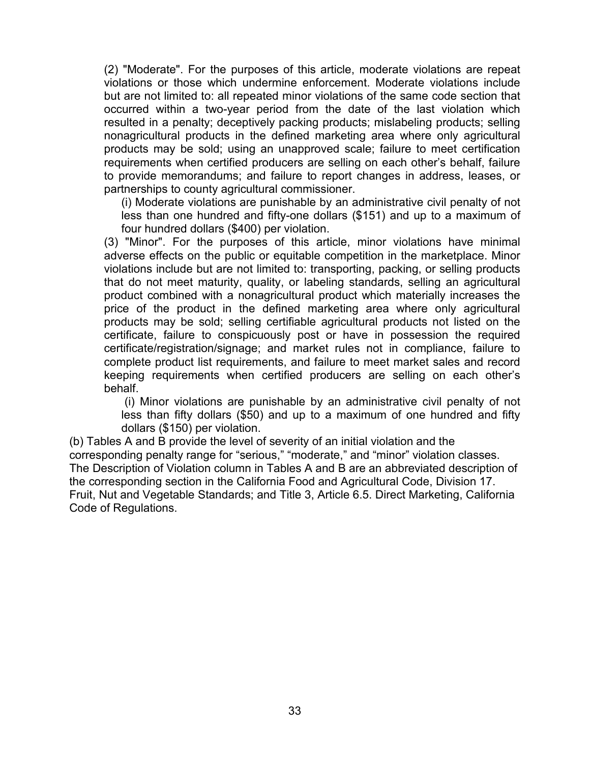(2) "Moderate". For the purposes of this article, moderate violations are repeat violations or those which undermine enforcement. Moderate violations include but are not limited to: all repeated minor violations of the same code section that occurred within a two-year period from the date of the last violation which resulted in a penalty; deceptively packing products; mislabeling products; selling nonagricultural products in the defined marketing area where only agricultural products may be sold; using an unapproved scale; failure to meet certification requirements when certified producers are selling on each other's behalf, failure to provide memorandums; and failure to report changes in address, leases, or partnerships to county agricultural commissioner.

(i) Moderate violations are punishable by an administrative civil penalty of not less than one hundred and fifty-one dollars (\$151) and up to a maximum of four hundred dollars (\$400) per violation.

(3) "Minor". For the purposes of this article, minor violations have minimal adverse effects on the public or equitable competition in the marketplace. Minor violations include but are not limited to: transporting, packing, or selling products that do not meet maturity, quality, or labeling standards, selling an agricultural product combined with a nonagricultural product which materially increases the price of the product in the defined marketing area where only agricultural products may be sold; selling certifiable agricultural products not listed on the certificate, failure to conspicuously post or have in possession the required certificate/registration/signage; and market rules not in compliance, failure to complete product list requirements, and failure to meet market sales and record keeping requirements when certified producers are selling on each other's behalf.

(i) Minor violations are punishable by an administrative civil penalty of not less than fifty dollars (\$50) and up to a maximum of one hundred and fifty dollars (\$150) per violation.

(b) Tables A and B provide the level of severity of an initial violation and the corresponding penalty range for "serious," "moderate," and "minor" violation classes. The Description of Violation column in Tables A and B are an abbreviated description of the corresponding section in the California Food and Agricultural Code, Division 17. Fruit, Nut and Vegetable Standards; and Title 3, Article 6.5. Direct Marketing, California Code of Regulations.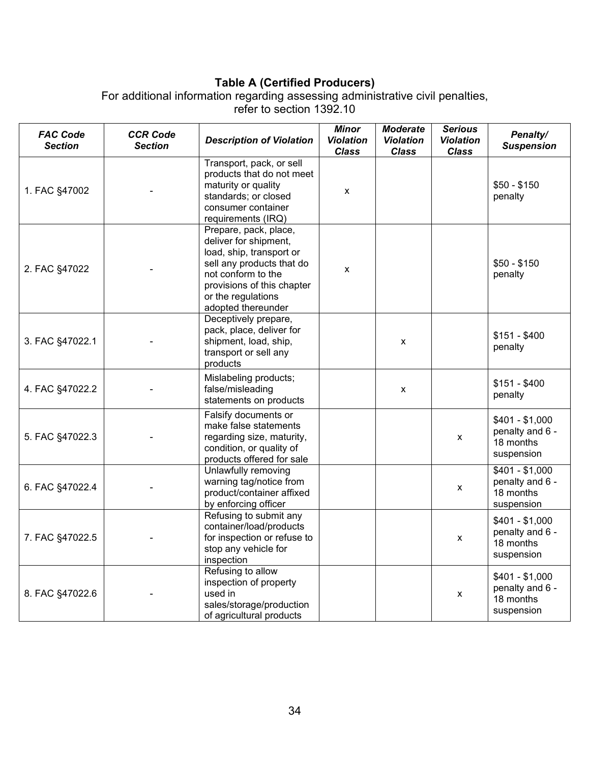# **Table A (Certified Producers)**

For additional information regarding assessing administrative civil penalties,

refer to section 1392.10

| <b>FAC Code</b><br><b>Section</b> | <b>CCR Code</b><br><b>Section</b> | <b>Description of Violation</b>                                                                                                                                                                         | <b>Minor</b><br><b>Violation</b><br><b>Class</b> | <b>Moderate</b><br><b>Violation</b><br><b>Class</b> | <b>Serious</b><br><b>Violation</b><br><b>Class</b> | Penalty/<br><b>Suspension</b>                                 |
|-----------------------------------|-----------------------------------|---------------------------------------------------------------------------------------------------------------------------------------------------------------------------------------------------------|--------------------------------------------------|-----------------------------------------------------|----------------------------------------------------|---------------------------------------------------------------|
| 1. FAC §47002                     |                                   | Transport, pack, or sell<br>products that do not meet<br>maturity or quality<br>standards; or closed<br>consumer container<br>requirements (IRQ)                                                        | X                                                |                                                     |                                                    | $$50 - $150$<br>penalty                                       |
| 2. FAC §47022                     |                                   | Prepare, pack, place,<br>deliver for shipment,<br>load, ship, transport or<br>sell any products that do<br>not conform to the<br>provisions of this chapter<br>or the regulations<br>adopted thereunder | X                                                |                                                     |                                                    | $$50 - $150$<br>penalty                                       |
| 3. FAC §47022.1                   |                                   | Deceptively prepare,<br>pack, place, deliver for<br>shipment, load, ship,<br>transport or sell any<br>products                                                                                          |                                                  | X                                                   |                                                    | $$151 - $400$<br>penalty                                      |
| 4. FAC §47022.2                   |                                   | Mislabeling products;<br>false/misleading<br>statements on products                                                                                                                                     |                                                  | X                                                   |                                                    | $$151 - $400$<br>penalty                                      |
| 5. FAC §47022.3                   |                                   | Falsify documents or<br>make false statements<br>regarding size, maturity,<br>condition, or quality of<br>products offered for sale                                                                     |                                                  |                                                     | X                                                  | $$401 - $1,000$<br>penalty and 6 -<br>18 months<br>suspension |
| 6. FAC §47022.4                   |                                   | Unlawfully removing<br>warning tag/notice from<br>product/container affixed<br>by enforcing officer                                                                                                     |                                                  |                                                     | X                                                  | $$401 - $1,000$<br>penalty and 6 -<br>18 months<br>suspension |
| 7. FAC §47022.5                   |                                   | Refusing to submit any<br>container/load/products<br>for inspection or refuse to<br>stop any vehicle for<br>inspection                                                                                  |                                                  |                                                     | X                                                  | $$401 - $1,000$<br>penalty and 6 -<br>18 months<br>suspension |
| 8. FAC §47022.6                   |                                   | Refusing to allow<br>inspection of property<br>used in<br>sales/storage/production<br>of agricultural products                                                                                          |                                                  |                                                     | X                                                  | $$401 - $1,000$<br>penalty and 6 -<br>18 months<br>suspension |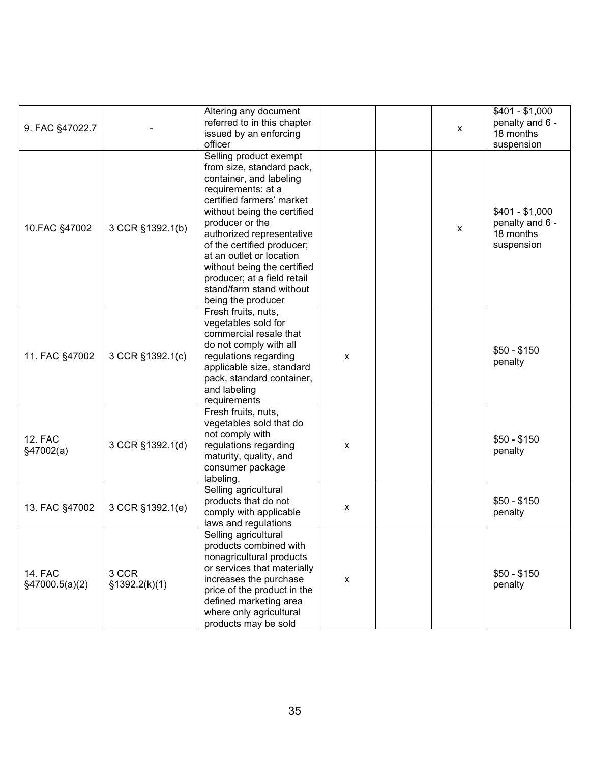|                 |                  | Altering any document<br>referred to in this chapter |                           |   | $$401 - $1,000$<br>penalty and 6 - |
|-----------------|------------------|------------------------------------------------------|---------------------------|---|------------------------------------|
| 9. FAC §47022.7 |                  | issued by an enforcing                               |                           | X | 18 months                          |
|                 |                  | officer                                              |                           |   | suspension                         |
|                 |                  | Selling product exempt                               |                           |   |                                    |
|                 |                  | from size, standard pack,                            |                           |   |                                    |
|                 |                  | container, and labeling                              |                           |   |                                    |
|                 |                  | requirements: at a                                   |                           |   |                                    |
|                 |                  | certified farmers' market                            |                           |   |                                    |
|                 |                  | without being the certified                          |                           |   | $$401 - $1,000$                    |
|                 |                  | producer or the                                      |                           |   | penalty and 6 -                    |
| 10.FAC §47002   | 3 CCR §1392.1(b) | authorized representative                            |                           | X | 18 months                          |
|                 |                  | of the certified producer;                           |                           |   | suspension                         |
|                 |                  | at an outlet or location                             |                           |   |                                    |
|                 |                  | without being the certified                          |                           |   |                                    |
|                 |                  | producer; at a field retail                          |                           |   |                                    |
|                 |                  | stand/farm stand without                             |                           |   |                                    |
|                 |                  | being the producer                                   |                           |   |                                    |
|                 |                  | Fresh fruits, nuts,                                  |                           |   |                                    |
|                 |                  | vegetables sold for                                  |                           |   |                                    |
|                 |                  | commercial resale that                               |                           |   |                                    |
|                 |                  | do not comply with all                               |                           |   |                                    |
| 11. FAC §47002  | 3 CCR §1392.1(c) | regulations regarding                                | $\boldsymbol{\mathsf{x}}$ |   | $$50 - $150$                       |
|                 |                  | applicable size, standard                            |                           |   | penalty                            |
|                 |                  | pack, standard container,                            |                           |   |                                    |
|                 |                  | and labeling                                         |                           |   |                                    |
|                 |                  | requirements                                         |                           |   |                                    |
|                 |                  | Fresh fruits, nuts,                                  |                           |   |                                    |
|                 |                  | vegetables sold that do                              |                           |   |                                    |
| <b>12. FAC</b>  |                  | not comply with                                      |                           |   | $$50 - $150$                       |
| §47002(a)       | 3 CCR §1392.1(d) | regulations regarding                                | X                         |   | penalty                            |
|                 |                  | maturity, quality, and                               |                           |   |                                    |
|                 |                  | consumer package                                     |                           |   |                                    |
|                 |                  | labeling.                                            |                           |   |                                    |
|                 |                  | Selling agricultural                                 |                           |   |                                    |
| 13. FAC §47002  | 3 CCR §1392.1(e) | products that do not                                 | X                         |   | $$50 - $150$                       |
|                 |                  | comply with applicable                               |                           |   | penalty                            |
|                 |                  | laws and regulations                                 |                           |   |                                    |
|                 |                  | Selling agricultural                                 |                           |   |                                    |
|                 |                  | products combined with                               |                           |   |                                    |
|                 |                  | nonagricultural products                             |                           |   |                                    |
| <b>14. FAC</b>  | 3 CCR            | or services that materially                          |                           |   | $$50 - $150$                       |
| §47000.5(a)(2)  | \$1392.2(k)(1)   | increases the purchase                               | $\pmb{\mathsf{X}}$        |   | penalty                            |
|                 |                  | price of the product in the                          |                           |   |                                    |
|                 |                  | defined marketing area                               |                           |   |                                    |
|                 |                  | where only agricultural                              |                           |   |                                    |
|                 |                  | products may be sold                                 |                           |   |                                    |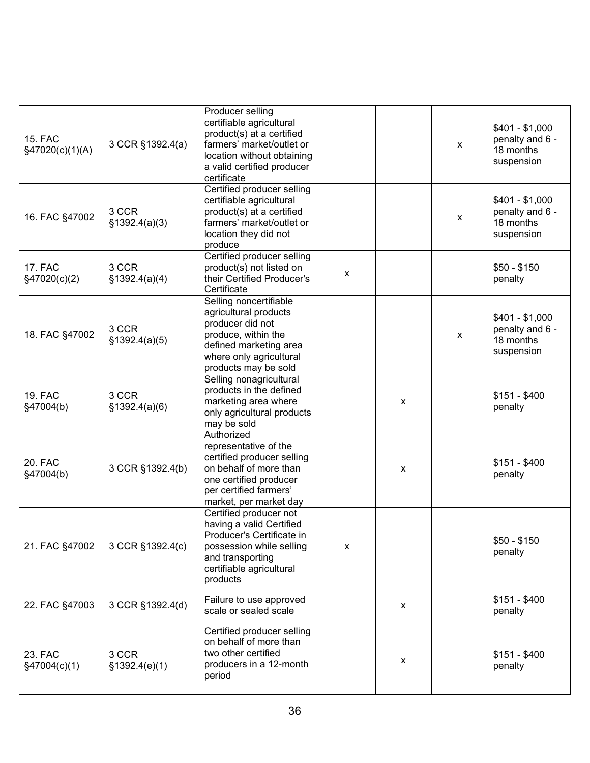| <b>15. FAC</b><br>§47020(c)(1)(A) | 3 CCR §1392.4(a)        | Producer selling<br>certifiable agricultural<br>product(s) at a certified<br>farmers' market/outlet or<br>location without obtaining<br>a valid certified producer<br>certificate |   |   | $\pmb{\mathsf{X}}$ | $$401 - $1,000$<br>penalty and 6 -<br>18 months<br>suspension |
|-----------------------------------|-------------------------|-----------------------------------------------------------------------------------------------------------------------------------------------------------------------------------|---|---|--------------------|---------------------------------------------------------------|
| 16. FAC §47002                    | 3 CCR<br>§1392.4(a)(3)  | Certified producer selling<br>certifiable agricultural<br>product(s) at a certified<br>farmers' market/outlet or<br>location they did not<br>produce                              |   |   | $\pmb{\mathsf{X}}$ | $$401 - $1,000$<br>penalty and 6 -<br>18 months<br>suspension |
| <b>17. FAC</b><br>§47020(c)(2)    | 3 CCR<br>\$1392.4(a)(4) | Certified producer selling<br>product(s) not listed on<br>their Certified Producer's<br>Certificate                                                                               | X |   |                    | $$50 - $150$<br>penalty                                       |
| 18. FAC §47002                    | 3 CCR<br>§1392.4(a)(5)  | Selling noncertifiable<br>agricultural products<br>producer did not<br>produce, within the<br>defined marketing area<br>where only agricultural<br>products may be sold           |   |   | X                  | $$401 - $1,000$<br>penalty and 6 -<br>18 months<br>suspension |
| 19. FAC<br>§47004(b)              | 3 CCR<br>\$1392.4(a)(6) | Selling nonagricultural<br>products in the defined<br>marketing area where<br>only agricultural products<br>may be sold                                                           |   | X |                    | $$151 - $400$<br>penalty                                      |
| 20. FAC<br>§47004(b)              | 3 CCR §1392.4(b)        | Authorized<br>representative of the<br>certified producer selling<br>on behalf of more than<br>one certified producer<br>per certified farmers'<br>market, per market day         |   | X |                    | $$151 - $400$<br>penalty                                      |
| 21. FAC §47002                    | 3 CCR §1392.4(c)        | Certified producer not<br>having a valid Certified<br>Producer's Certificate in<br>possession while selling<br>and transporting<br>certifiable agricultural<br>products           | X |   |                    | $$50 - $150$<br>penalty                                       |
| 22. FAC §47003                    | 3 CCR §1392.4(d)        | Failure to use approved<br>scale or sealed scale                                                                                                                                  |   | х |                    | $$151 - $400$<br>penalty                                      |
| 23. FAC<br>§47004(c)(1)           | 3 CCR<br>\$1392.4(e)(1) | Certified producer selling<br>on behalf of more than<br>two other certified<br>producers in a 12-month<br>period                                                                  |   | X |                    | $$151 - $400$<br>penalty                                      |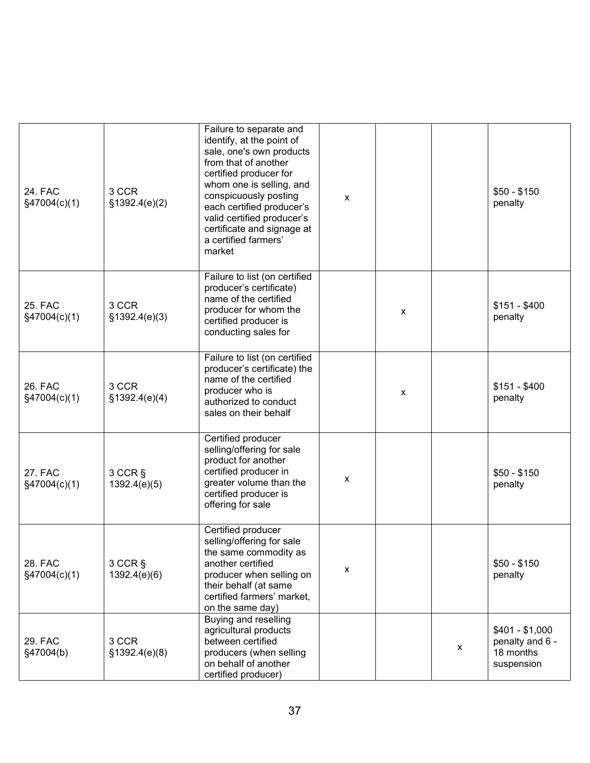| 24. FAC<br>§47004(c)(1)        | 3 CCR<br>\$1392.4(e)(2) | Failure to separate and<br>identify, at the point of<br>sale, one's own products<br>from that of another<br>certified producer for<br>whom one is selling, and<br>conspicuously posting<br>each certified producer's<br>valid certified producer's<br>certificate and signage at<br>a certified farmers'<br>market | X |   |   | $$50 - $150$<br>penalty                                       |
|--------------------------------|-------------------------|--------------------------------------------------------------------------------------------------------------------------------------------------------------------------------------------------------------------------------------------------------------------------------------------------------------------|---|---|---|---------------------------------------------------------------|
| <b>25. FAC</b><br>§47004(c)(1) | 3 CCR<br>§1392.4(e)(3)  | Failure to list (on certified<br>producer's certificate)<br>name of the certified<br>producer for whom the<br>certified producer is<br>conducting sales for                                                                                                                                                        |   | X |   | $$151 - $400$<br>penalty                                      |
| 26. FAC<br>§47004(c)(1)        | 3 CCR<br>§1392.4(e)(4)  | Failure to list (on certified<br>producer's certificate) the<br>name of the certified<br>producer who is<br>authorized to conduct<br>sales on their behalf                                                                                                                                                         |   | X |   | $$151 - $400$<br>penalty                                      |
| <b>27. FAC</b><br>§47004(c)(1) | 3 CCR §<br>1392.4(e)(5) | Certified producer<br>selling/offering for sale<br>product for another<br>certified producer in<br>greater volume than the<br>certified producer is<br>offering for sale                                                                                                                                           | X |   |   | $$50 - $150$<br>penalty                                       |
| 28. FAC<br>§47004(c)(1)        | 3 CCR §<br>1392.4(e)(6) | Certified producer<br>selling/offering for sale<br>the same commodity as<br>another certified<br>producer when selling on<br>their behalf (at same<br>certified farmers' market,<br>on the same day)                                                                                                               | X |   |   | $$50 - $150$<br>penalty                                       |
| 29. FAC<br>§47004(b)           | 3 CCR<br>§1392.4(e)(8)  | Buying and reselling<br>agricultural products<br>between certified<br>producers (when selling<br>on behalf of another<br>certified producer)                                                                                                                                                                       |   |   | X | $$401 - $1,000$<br>penalty and 6 -<br>18 months<br>suspension |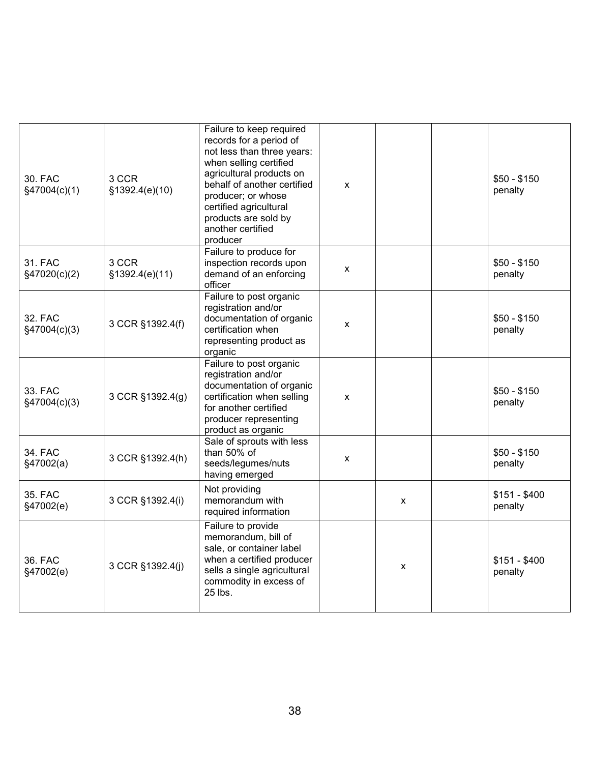| 30. FAC<br>§47004(c)(1) | 3 CCR<br>§1392.4(e)(10)  | Failure to keep required<br>records for a period of<br>not less than three years:<br>when selling certified<br>agricultural products on<br>behalf of another certified<br>producer; or whose<br>certified agricultural<br>products are sold by<br>another certified<br>producer | X |   | $$50 - $150$<br>penalty  |
|-------------------------|--------------------------|---------------------------------------------------------------------------------------------------------------------------------------------------------------------------------------------------------------------------------------------------------------------------------|---|---|--------------------------|
| 31. FAC<br>§47020(c)(2) | 3 CCR<br>\$1392.4(e)(11) | Failure to produce for<br>inspection records upon<br>demand of an enforcing<br>officer                                                                                                                                                                                          | X |   | $$50 - $150$<br>penalty  |
| 32. FAC<br>§47004(c)(3) | 3 CCR §1392.4(f)         | Failure to post organic<br>registration and/or<br>documentation of organic<br>certification when<br>representing product as<br>organic                                                                                                                                          | X |   | $$50 - $150$<br>penalty  |
| 33. FAC<br>§47004(c)(3) | 3 CCR §1392.4(g)         | Failure to post organic<br>registration and/or<br>documentation of organic<br>certification when selling<br>for another certified<br>producer representing<br>product as organic                                                                                                | X |   | $$50 - $150$<br>penalty  |
| 34. FAC<br>§47002(a)    | 3 CCR §1392.4(h)         | Sale of sprouts with less<br>than 50% of<br>seeds/legumes/nuts<br>having emerged                                                                                                                                                                                                | X |   | $$50 - $150$<br>penalty  |
| 35. FAC<br>§47002(e)    | 3 CCR §1392.4(i)         | Not providing<br>memorandum with<br>required information                                                                                                                                                                                                                        |   | X | $$151 - $400$<br>penalty |
| 36. FAC<br>§47002(e)    | 3 CCR §1392.4(j)         | Failure to provide<br>memorandum, bill of<br>sale, or container label<br>when a certified producer<br>sells a single agricultural<br>commodity in excess of<br>25 lbs.                                                                                                          |   | X | $$151 - $400$<br>penalty |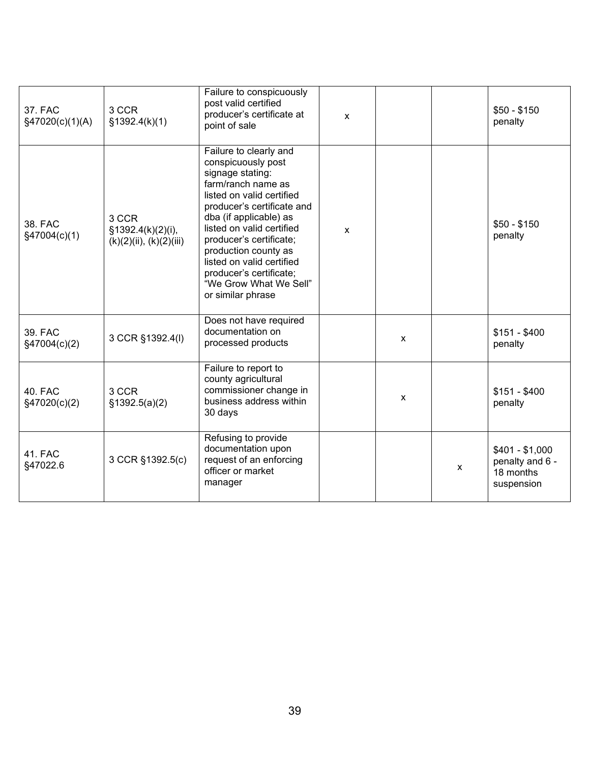| 37. FAC<br>§47020(c)(1)(A) | 3 CCR<br>§1392.4(k)(1)                                     | Failure to conspicuously<br>post valid certified<br>producer's certificate at<br>point of sale                                                                                                                                                                                                                                                                     | $\mathsf{x}$ |   |   | $$50 - $150$<br>penalty                                       |
|----------------------------|------------------------------------------------------------|--------------------------------------------------------------------------------------------------------------------------------------------------------------------------------------------------------------------------------------------------------------------------------------------------------------------------------------------------------------------|--------------|---|---|---------------------------------------------------------------|
| 38. FAC<br>§47004(c)(1)    | 3 CCR<br>§1392.4(k)(2)(i),<br>$(k)(2)(ii)$ , $(k)(2)(iii)$ | Failure to clearly and<br>conspicuously post<br>signage stating:<br>farm/ranch name as<br>listed on valid certified<br>producer's certificate and<br>dba (if applicable) as<br>listed on valid certified<br>producer's certificate;<br>production county as<br>listed on valid certified<br>producer's certificate;<br>"We Grow What We Sell"<br>or similar phrase | $\mathsf{x}$ |   |   | $$50 - $150$<br>penalty                                       |
| 39. FAC<br>§47004(c)(2)    | 3 CCR §1392.4(I)                                           | Does not have required<br>documentation on<br>processed products                                                                                                                                                                                                                                                                                                   |              | X |   | $$151 - $400$<br>penalty                                      |
| 40. FAC<br>§47020(c)(2)    | 3 CCR<br>\$1392.5(a)(2)                                    | Failure to report to<br>county agricultural<br>commissioner change in<br>business address within<br>30 days                                                                                                                                                                                                                                                        |              | X |   | $$151 - $400$<br>penalty                                      |
| <b>41. FAC</b><br>§47022.6 | 3 CCR §1392.5(c)                                           | Refusing to provide<br>documentation upon<br>request of an enforcing<br>officer or market<br>manager                                                                                                                                                                                                                                                               |              |   | X | $$401 - $1,000$<br>penalty and 6 -<br>18 months<br>suspension |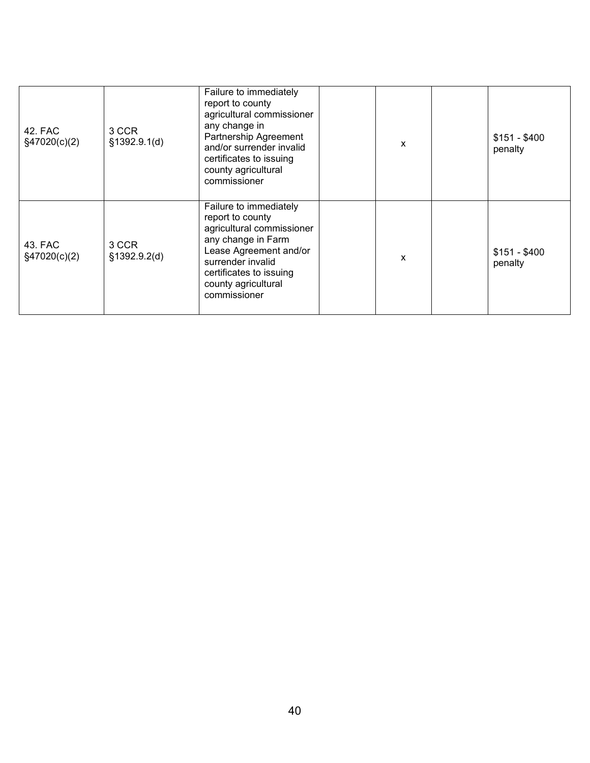| 42. FAC<br>§47020(c)(2)    | 3 CCR<br>§1392.9.1(d) | Failure to immediately<br>report to county<br>agricultural commissioner<br>any change in<br>Partnership Agreement<br>and/or surrender invalid<br>certificates to issuing<br>county agricultural<br>commissioner | X | $$151 - $400$<br>penalty |
|----------------------------|-----------------------|-----------------------------------------------------------------------------------------------------------------------------------------------------------------------------------------------------------------|---|--------------------------|
| 43. FAC<br>$\S47020(c)(2)$ | 3 CCR<br>§1392.9.2(d) | Failure to immediately<br>report to county<br>agricultural commissioner<br>any change in Farm<br>Lease Agreement and/or<br>surrender invalid<br>certificates to issuing<br>county agricultural<br>commissioner  | X | $$151 - $400$<br>penalty |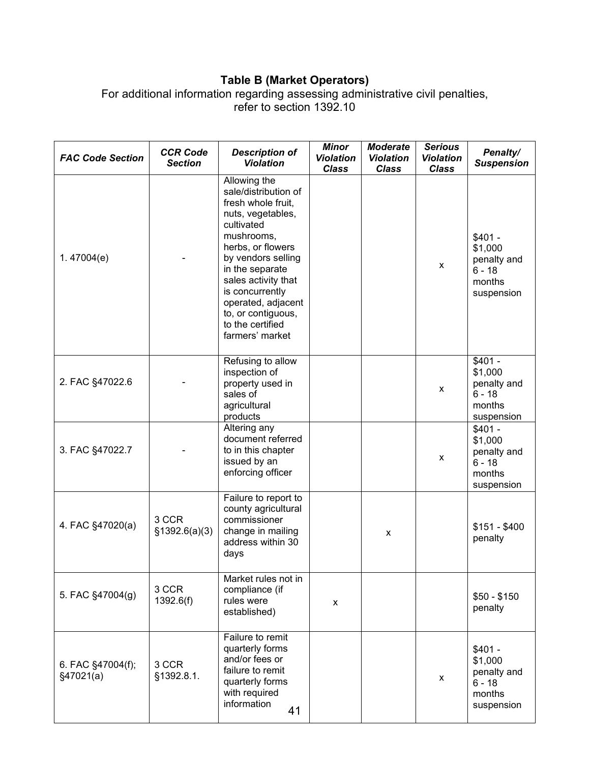## **Table B (Market Operators)**

For additional information regarding assessing administrative civil penalties, refer to section 1392.10

| <b>FAC Code Section</b>        | <b>CCR Code</b><br><b>Section</b> | <b>Description of</b><br><b>Violation</b>                                                                                                                                                                                                                                                              | <b>Minor</b><br><b>Violation</b><br><b>Class</b> | <b>Moderate</b><br><b>Violation</b><br><b>Class</b> | <b>Serious</b><br><b>Violation</b><br><b>Class</b> | Penalty/<br><b>Suspension</b>                                          |
|--------------------------------|-----------------------------------|--------------------------------------------------------------------------------------------------------------------------------------------------------------------------------------------------------------------------------------------------------------------------------------------------------|--------------------------------------------------|-----------------------------------------------------|----------------------------------------------------|------------------------------------------------------------------------|
| 1.47004 $(e)$                  |                                   | Allowing the<br>sale/distribution of<br>fresh whole fruit,<br>nuts, vegetables,<br>cultivated<br>mushrooms,<br>herbs, or flowers<br>by vendors selling<br>in the separate<br>sales activity that<br>is concurrently<br>operated, adjacent<br>to, or contiguous,<br>to the certified<br>farmers' market |                                                  |                                                     | $\pmb{\chi}$                                       | $$401 -$<br>\$1,000<br>penalty and<br>$6 - 18$<br>months<br>suspension |
| 2. FAC §47022.6                |                                   | Refusing to allow<br>inspection of<br>property used in<br>sales of<br>agricultural<br>products                                                                                                                                                                                                         |                                                  |                                                     | x                                                  | $$401 -$<br>\$1,000<br>penalty and<br>$6 - 18$<br>months<br>suspension |
| 3. FAC §47022.7                |                                   | Altering any<br>document referred<br>to in this chapter<br>issued by an<br>enforcing officer                                                                                                                                                                                                           |                                                  |                                                     | x                                                  | $$401 -$<br>\$1,000<br>penalty and<br>$6 - 18$<br>months<br>suspension |
| 4. FAC §47020(a)               | 3 CCR<br>\$1392.6(a)(3)           | Failure to report to<br>county agricultural<br>commissioner<br>change in mailing<br>address within 30<br>days                                                                                                                                                                                          |                                                  | X                                                   |                                                    | $$151 - $400$<br>penalty                                               |
| 5. FAC §47004(g)               | 3 CCR<br>1392.6(f)                | Market rules not in<br>compliance (if<br>rules were<br>established)                                                                                                                                                                                                                                    | x                                                |                                                     |                                                    | $$50 - $150$<br>penalty                                                |
| 6. FAC §47004(f);<br>§47021(a) | 3 CCR<br>§1392.8.1.               | Failure to remit<br>quarterly forms<br>and/or fees or<br>failure to remit<br>quarterly forms<br>with required<br>information<br>41                                                                                                                                                                     |                                                  |                                                     | x                                                  | $$401 -$<br>\$1,000<br>penalty and<br>$6 - 18$<br>months<br>suspension |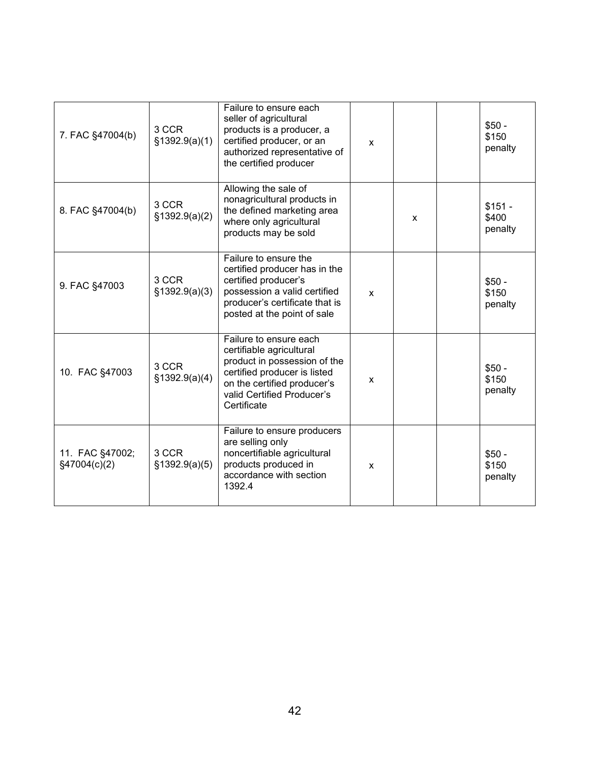| 7. FAC §47004(b)                | 3 CCR<br>\$1392.9(a)(1) | Failure to ensure each<br>seller of agricultural<br>products is a producer, a<br>certified producer, or an<br>authorized representative of<br>the certified producer                           | X |   | $$50 -$<br>\$150<br>penalty  |
|---------------------------------|-------------------------|------------------------------------------------------------------------------------------------------------------------------------------------------------------------------------------------|---|---|------------------------------|
| 8. FAC §47004(b)                | 3 CCR<br>\$1392.9(a)(2) | Allowing the sale of<br>nonagricultural products in<br>the defined marketing area<br>where only agricultural<br>products may be sold                                                           |   | X | $$151 -$<br>\$400<br>penalty |
| 9. FAC §47003                   | 3 CCR<br>\$1392.9(a)(3) | Failure to ensure the<br>certified producer has in the<br>certified producer's<br>possession a valid certified<br>producer's certificate that is<br>posted at the point of sale                | X |   | $$50 -$<br>\$150<br>penalty  |
| 10. FAC §47003                  | 3 CCR<br>§1392.9(a)(4)  | Failure to ensure each<br>certifiable agricultural<br>product in possession of the<br>certified producer is listed<br>on the certified producer's<br>valid Certified Producer's<br>Certificate | X |   | $$50 -$<br>\$150<br>penalty  |
| 11. FAC §47002;<br>§47004(c)(2) | 3 CCR<br>\$1392.9(a)(5) | Failure to ensure producers<br>are selling only<br>noncertifiable agricultural<br>products produced in<br>accordance with section<br>1392.4                                                    | X |   | $$50 -$<br>\$150<br>penalty  |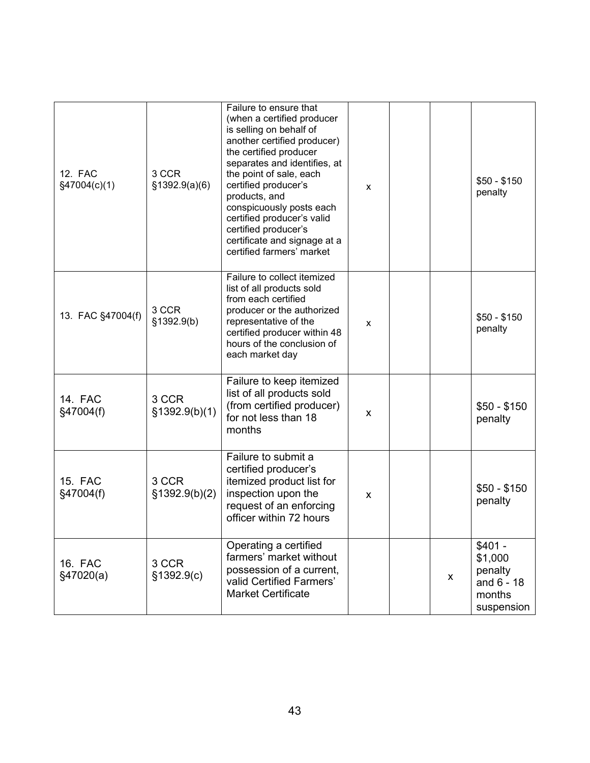| 12. FAC<br>§47004(c)(1)     | 3 CCR<br>\$1392.9(a)(6) | Failure to ensure that<br>(when a certified producer<br>is selling on behalf of<br>another certified producer)<br>the certified producer<br>separates and identifies, at<br>the point of sale, each<br>certified producer's<br>products, and<br>conspicuously posts each<br>certified producer's valid<br>certified producer's<br>certificate and signage at a<br>certified farmers' market | X |   | $$50 - $150$<br>penalty                                                |
|-----------------------------|-------------------------|---------------------------------------------------------------------------------------------------------------------------------------------------------------------------------------------------------------------------------------------------------------------------------------------------------------------------------------------------------------------------------------------|---|---|------------------------------------------------------------------------|
| 13. FAC §47004(f)           | 3 CCR<br>§1392.9(b)     | Failure to collect itemized<br>list of all products sold<br>from each certified<br>producer or the authorized<br>representative of the<br>certified producer within 48<br>hours of the conclusion of<br>each market day                                                                                                                                                                     | X |   | $$50 - $150$<br>penalty                                                |
| <b>14. FAC</b><br>§47004(f) | 3 CCR<br>§1392.9(b)(1)  | Failure to keep itemized<br>list of all products sold<br>(from certified producer)<br>for not less than 18<br>months                                                                                                                                                                                                                                                                        | x |   | $$50 - $150$<br>penalty                                                |
| <b>15. FAC</b><br>§47004(f) | 3 CCR<br>§1392.9(b)(2)  | Failure to submit a<br>certified producer's<br>itemized product list for<br>inspection upon the<br>request of an enforcing<br>officer within 72 hours                                                                                                                                                                                                                                       | x |   | $$50 - $150$<br>penalty                                                |
| 16. FAC<br>§47020(a)        | 3 CCR<br>§1392.9(c)     | Operating a certified<br>farmers' market without<br>possession of a current,<br>valid Certified Farmers'<br><b>Market Certificate</b>                                                                                                                                                                                                                                                       |   | X | $$401 -$<br>\$1,000<br>penalty<br>and $6 - 18$<br>months<br>suspension |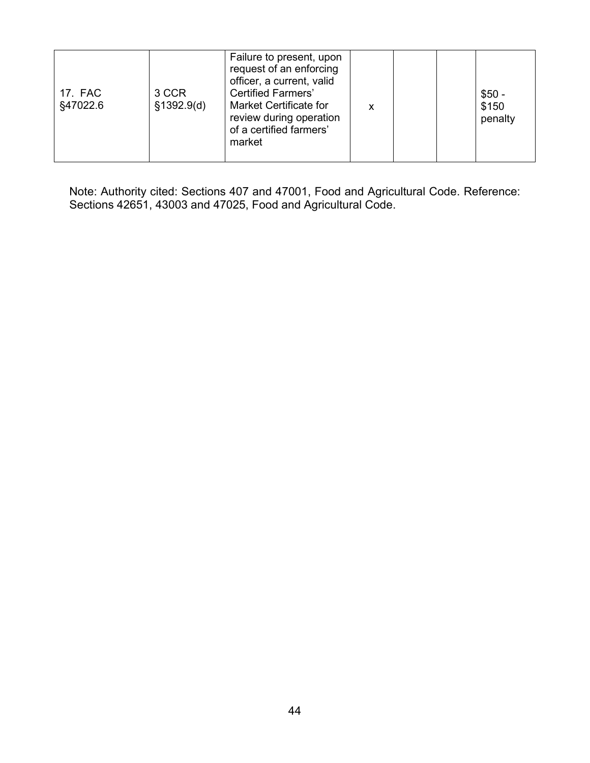| 3 CCR<br>17. FAC<br>§1392.9(d)<br>§47022.6<br>market | Failure to present, upon<br>request of an enforcing<br>officer, a current, valid<br><b>Certified Farmers'</b><br>$$50 -$<br><b>Market Certificate for</b><br>\$150<br>x<br>review during operation<br>penalty<br>of a certified farmers' |
|------------------------------------------------------|------------------------------------------------------------------------------------------------------------------------------------------------------------------------------------------------------------------------------------------|
|------------------------------------------------------|------------------------------------------------------------------------------------------------------------------------------------------------------------------------------------------------------------------------------------------|

Note: Authority cited: Sections 407 and 47001, Food and Agricultural Code. Reference: Sections 42651, 43003 and 47025, Food and Agricultural Code.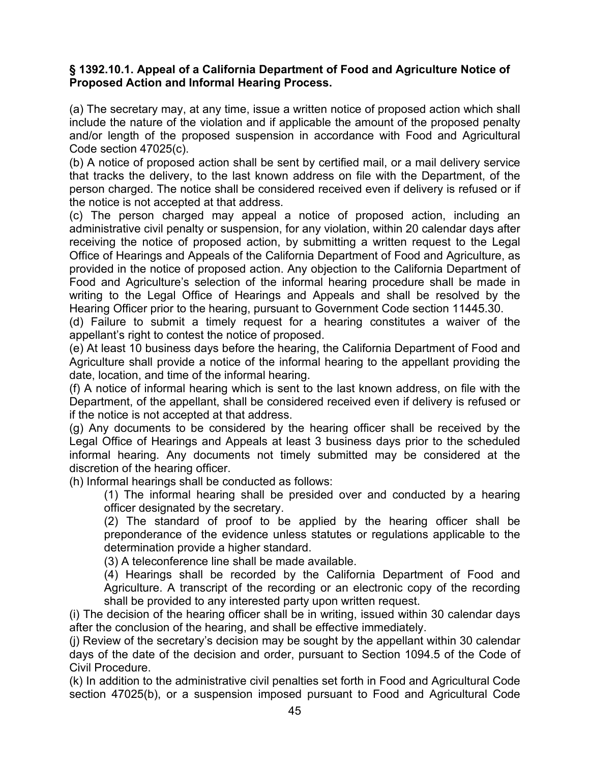### **§ 1392.10.1. Appeal of a California Department of Food and Agriculture Notice of Proposed Action and Informal Hearing Process.**

(a) The secretary may, at any time, issue a written notice of proposed action which shall include the nature of the violation and if applicable the amount of the proposed penalty and/or length of the proposed suspension in accordance with Food and Agricultural Code section 47025(c).

(b) A notice of proposed action shall be sent by certified mail, or a mail delivery service that tracks the delivery, to the last known address on file with the Department, of the person charged. The notice shall be considered received even if delivery is refused or if the notice is not accepted at that address.

(c) The person charged may appeal a notice of proposed action, including an administrative civil penalty or suspension, for any violation, within 20 calendar days after receiving the notice of proposed action, by submitting a written request to the Legal Office of Hearings and Appeals of the California Department of Food and Agriculture, as provided in the notice of proposed action. Any objection to the California Department of Food and Agriculture's selection of the informal hearing procedure shall be made in writing to the Legal Office of Hearings and Appeals and shall be resolved by the Hearing Officer prior to the hearing, pursuant to Government Code section 11445.30.

(d) Failure to submit a timely request for a hearing constitutes a waiver of the appellant's right to contest the notice of proposed.

(e) At least 10 business days before the hearing, the California Department of Food and Agriculture shall provide a notice of the informal hearing to the appellant providing the date, location, and time of the informal hearing.

(f) A notice of informal hearing which is sent to the last known address, on file with the Department, of the appellant, shall be considered received even if delivery is refused or if the notice is not accepted at that address.

(g) Any documents to be considered by the hearing officer shall be received by the Legal Office of Hearings and Appeals at least 3 business days prior to the scheduled informal hearing. Any documents not timely submitted may be considered at the discretion of the hearing officer.

(h) Informal hearings shall be conducted as follows:

(1) The informal hearing shall be presided over and conducted by a hearing officer designated by the secretary.

(2) The standard of proof to be applied by the hearing officer shall be preponderance of the evidence unless statutes or regulations applicable to the determination provide a higher standard.

(3) A teleconference line shall be made available.

(4) Hearings shall be recorded by the California Department of Food and Agriculture. A transcript of the recording or an electronic copy of the recording shall be provided to any interested party upon written request.

(i) The decision of the hearing officer shall be in writing, issued within 30 calendar days after the conclusion of the hearing, and shall be effective immediately.

(j) Review of the secretary's decision may be sought by the appellant within 30 calendar days of the date of the decision and order, pursuant to Section 1094.5 of the Code of Civil Procedure.

(k) In addition to the administrative civil penalties set forth in Food and Agricultural Code section 47025(b), or a suspension imposed pursuant to Food and Agricultural Code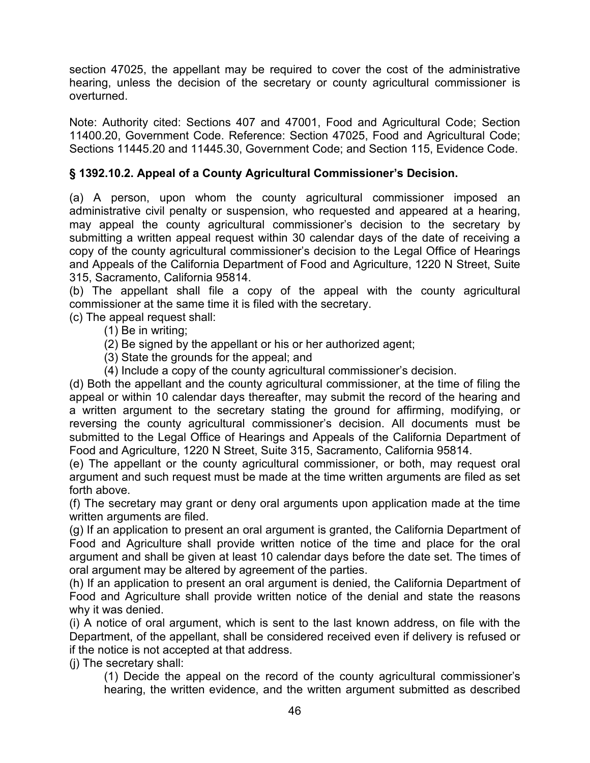section 47025, the appellant may be required to cover the cost of the administrative hearing, unless the decision of the secretary or county agricultural commissioner is overturned.

Note: Authority cited: Sections 407 and 47001, Food and Agricultural Code; Section 11400.20, Government Code. Reference: Section 47025, Food and Agricultural Code; Sections 11445.20 and 11445.30, Government Code; and Section 115, Evidence Code.

# **§ 1392.10.2. Appeal of a County Agricultural Commissioner's Decision.**

(a) A person, upon whom the county agricultural commissioner imposed an administrative civil penalty or suspension, who requested and appeared at a hearing, may appeal the county agricultural commissioner's decision to the secretary by submitting a written appeal request within 30 calendar days of the date of receiving a copy of the county agricultural commissioner's decision to the Legal Office of Hearings and Appeals of the California Department of Food and Agriculture, 1220 N Street, Suite 315, Sacramento, California 95814.

(b) The appellant shall file a copy of the appeal with the county agricultural commissioner at the same time it is filed with the secretary.

(c) The appeal request shall:

- (1) Be in writing;
- (2) Be signed by the appellant or his or her authorized agent;
- (3) State the grounds for the appeal; and
- (4) Include a copy of the county agricultural commissioner's decision.

(d) Both the appellant and the county agricultural commissioner, at the time of filing the appeal or within 10 calendar days thereafter, may submit the record of the hearing and a written argument to the secretary stating the ground for affirming, modifying, or reversing the county agricultural commissioner's decision. All documents must be submitted to the Legal Office of Hearings and Appeals of the California Department of Food and Agriculture, 1220 N Street, Suite 315, Sacramento, California 95814.

(e) The appellant or the county agricultural commissioner, or both, may request oral argument and such request must be made at the time written arguments are filed as set forth above.

(f) The secretary may grant or deny oral arguments upon application made at the time written arguments are filed.

(g) If an application to present an oral argument is granted, the California Department of Food and Agriculture shall provide written notice of the time and place for the oral argument and shall be given at least 10 calendar days before the date set. The times of oral argument may be altered by agreement of the parties.

(h) If an application to present an oral argument is denied, the California Department of Food and Agriculture shall provide written notice of the denial and state the reasons why it was denied.

(i) A notice of oral argument, which is sent to the last known address, on file with the Department, of the appellant, shall be considered received even if delivery is refused or if the notice is not accepted at that address.

(j) The secretary shall:

(1) Decide the appeal on the record of the county agricultural commissioner's hearing, the written evidence, and the written argument submitted as described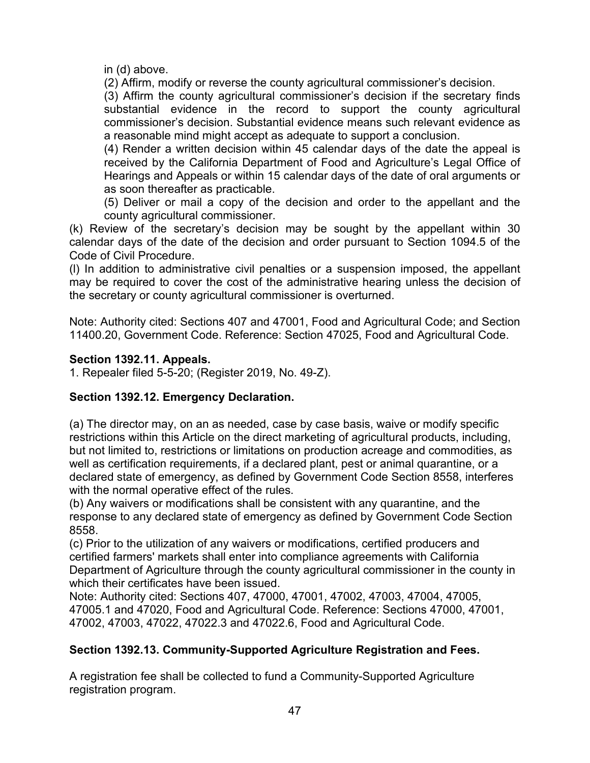in (d) above.

(2) Affirm, modify or reverse the county agricultural commissioner's decision.

(3) Affirm the county agricultural commissioner's decision if the secretary finds substantial evidence in the record to support the county agricultural commissioner's decision. Substantial evidence means such relevant evidence as a reasonable mind might accept as adequate to support a conclusion.

(4) Render a written decision within 45 calendar days of the date the appeal is received by the California Department of Food and Agriculture's Legal Office of Hearings and Appeals or within 15 calendar days of the date of oral arguments or as soon thereafter as practicable.

(5) Deliver or mail a copy of the decision and order to the appellant and the county agricultural commissioner.

(k) Review of the secretary's decision may be sought by the appellant within 30 calendar days of the date of the decision and order pursuant to Section 1094.5 of the Code of Civil Procedure.

(l) In addition to administrative civil penalties or a suspension imposed, the appellant may be required to cover the cost of the administrative hearing unless the decision of the secretary or county agricultural commissioner is overturned.

Note: Authority cited: Sections 407 and 47001, Food and Agricultural Code; and Section 11400.20, Government Code. Reference: Section 47025, Food and Agricultural Code.

## **Section 1392.11. Appeals.**

1. Repealer filed 5-5-20; (Register 2019, No. 49-Z).

# **Section 1392.12. Emergency Declaration.**

(a) The director may, on an as needed, case by case basis, waive or modify specific restrictions within this Article on the direct marketing of agricultural products, including, but not limited to, restrictions or limitations on production acreage and commodities, as well as certification requirements, if a declared plant, pest or animal quarantine, or a declared state of emergency, as defined by Government Code Section 8558, interferes with the normal operative effect of the rules.

(b) Any waivers or modifications shall be consistent with any quarantine, and the response to any declared state of emergency as defined by Government Code Section 8558.

(c) Prior to the utilization of any waivers or modifications, certified producers and certified farmers' markets shall enter into compliance agreements with California Department of Agriculture through the county agricultural commissioner in the county in which their certificates have been issued.

Note: Authority cited: Sections 407, 47000, 47001, 47002, 47003, 47004, 47005, 47005.1 and 47020, Food and Agricultural Code. Reference: Sections 47000, 47001, 47002, 47003, 47022, 47022.3 and 47022.6, Food and Agricultural Code.

# **Section 1392.13. Community-Supported Agriculture Registration and Fees.**

A registration fee shall be collected to fund a Community-Supported Agriculture registration program.